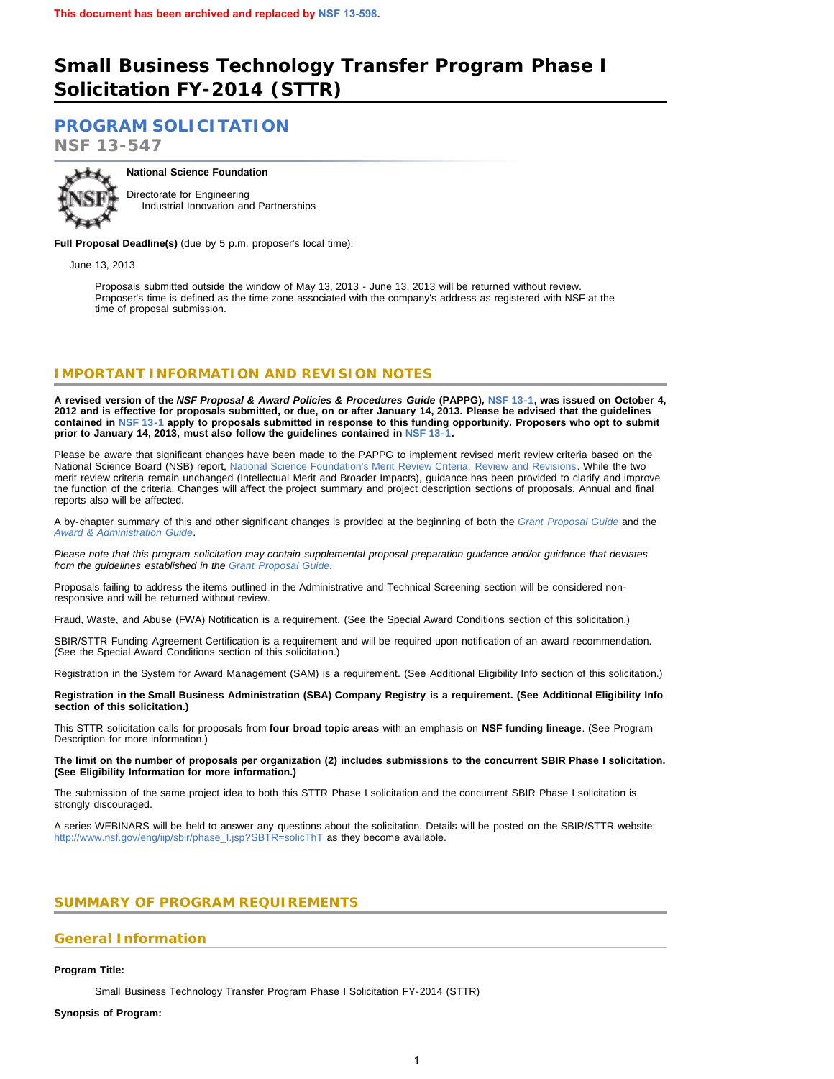# **Small Business Technology Transfer Program Phase I Solicitation FY-2014 (STTR)**

**[PROGRAM SOLICITATION](#page-3-0)**

**NSF 13-547**



**National Science Foundation**

Directorate for Engineering Industrial Innovation and Partnerships

**Full Proposal Deadline(s)** (due by 5 p.m. proposer's local time):

June 13, 2013

Proposals submitted outside the window of May 13, 2013 - June 13, 2013 will be returned without review. Proposer's time is defined as the time zone associated with the company's address as registered with NSF at the time of proposal submission.

# **IMPORTANT INFORMATION AND REVISION NOTES**

**A revised version of the** *NSF Proposal & Award Policies & Procedures Guide* **(PAPPG)***,* **[NSF 13-1,](http://www.nsf.gov/publications/pub_summ.jsp?ods_key=nsf13001) was issued on October 4, 2012 and is effective for proposals submitted, or due, on or after January 14, 2013. Please be advised that the guidelines contained in [NSF 13-1](http://www.nsf.gov/publications/pub_summ.jsp?ods_key=nsf13001) apply to proposals submitted in response to this funding opportunity. Proposers who opt to submit prior to January 14, 2013, must also follow the guidelines contained in [NSF 13-1.](http://www.nsf.gov/publications/pub_summ.jsp?ods_key=nsf13001)**

Please be aware that significant changes have been made to the PAPPG to implement revised merit review criteria based on the National Science Board (NSB) report, [National Science Foundation's Merit Review Criteria: Review and Revisions.](http://www.nsf.gov/nsb/publications/2011/meritreviewcriteria.pdf) While the two merit review criteria remain unchanged (Intellectual Merit and Broader Impacts), guidance has been provided to clarify and improve the function of the criteria. Changes will affect the project summary and project description sections of proposals. Annual and final reports also will be affected.

A by-chapter summary of this and other significant changes is provided at the beginning of both the *[Grant Proposal Guide](http://www.nsf.gov/pubs/policydocs/pappguide/nsf13001/gpg_sigchanges.jsp)* and the *[Award & Administration Guide](http://www.nsf.gov/pubs/policydocs/pappguide/nsf13001/aag_sigchanges.jsp)*.

*Please note that this program solicitation may contain supplemental proposal preparation guidance and/or guidance that deviates from the guidelines established in the [Grant Proposal Guide](http://www.nsf.gov/pubs/policydocs/pappguide/nsf13001/gpg_index.jsp).*

Proposals failing to address the items outlined in the Administrative and Technical Screening section will be considered nonresponsive and will be returned without review.

Fraud, Waste, and Abuse (FWA) Notification is a requirement. (See the Special Award Conditions section of this solicitation.)

SBIR/STTR Funding Agreement Certification is a requirement and will be required upon notification of an award recommendation. (See the Special Award Conditions section of this solicitation.)

Registration in the System for Award Management (SAM) is a requirement. (See Additional Eligibility Info section of this solicitation.)

**Registration in the Small Business Administration (SBA) Company Registry is a requirement. (See Additional Eligibility Info section of this solicitation.)**

This STTR solicitation calls for proposals from **four broad topic areas** with an emphasis on **NSF funding lineage**. (See Program Description for more information.)

**The limit on the number of proposals per organization (2) includes submissions to the concurrent SBIR Phase I solicitation. (See Eligibility Information for more information.)**

The submission of the same project idea to both this STTR Phase I solicitation and the concurrent SBIR Phase I solicitation is strongly discouraged.

A series WEBINARS will be held to answer any questions about the solicitation. Details will be posted on the SBIR/STTR website: [http://www.nsf.gov/eng/iip/sbir/phase\\_I.jsp?SBTR=solicThT](http://www.nsf.gov/eng/iip/sbir/phase_I.jsp?SBTR=solicThT) as they become available.

# <span id="page-0-0"></span>**SUMMARY OF PROGRAM REQUIREMENTS**

# **General Information**

#### **Program Title:**

Small Business Technology Transfer Program Phase I Solicitation FY-2014 (STTR)

#### **Synopsis of Program:**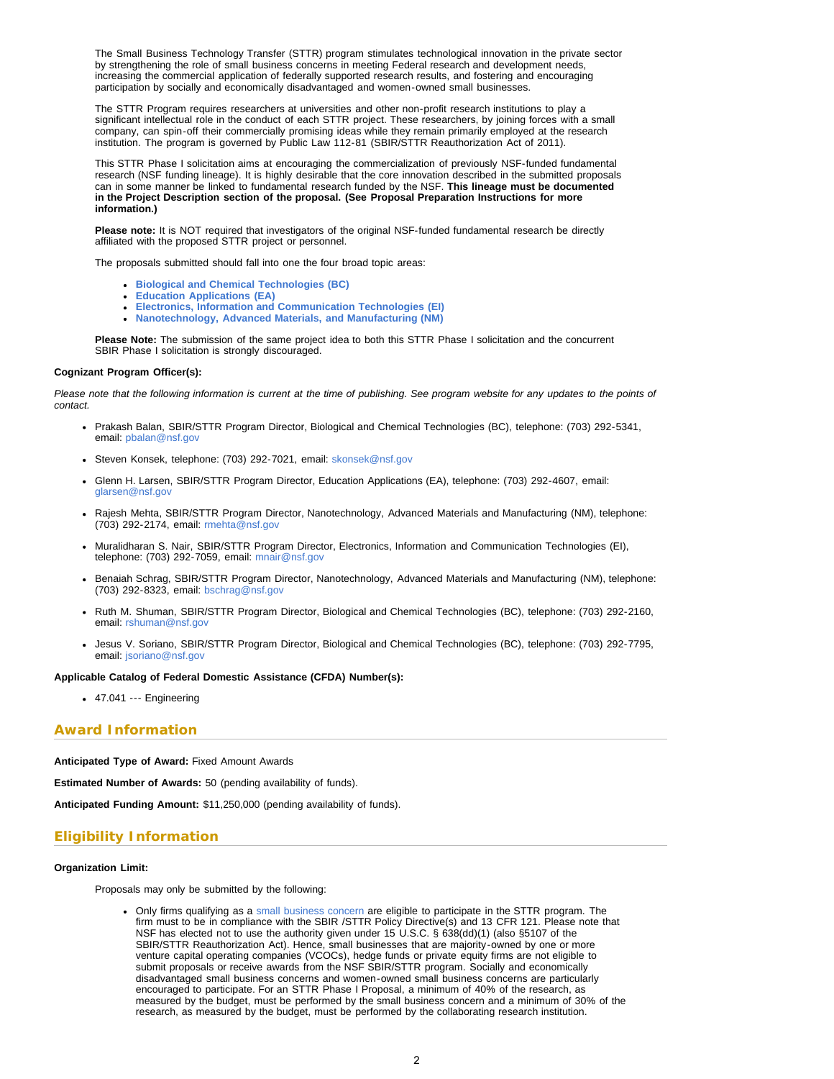The Small Business Technology Transfer (STTR) program stimulates technological innovation in the private sector by strengthening the role of small business concerns in meeting Federal research and development needs, increasing the commercial application of federally supported research results, and fostering and encouraging participation by socially and economically disadvantaged and women-owned small businesses.

The STTR Program requires researchers at universities and other non-profit research institutions to play a significant intellectual role in the conduct of each STTR project. These researchers, by joining forces with a small company, can spin-off their commercially promising ideas while they remain primarily employed at the research institution. The program is governed by Public Law 112-81 (SBIR/STTR Reauthorization Act of 2011).

This STTR Phase I solicitation aims at encouraging the commercialization of previously NSF-funded fundamental research (NSF funding lineage). It is highly desirable that the core innovation described in the submitted proposals can in some manner be linked to fundamental research funded by the NSF. **This lineage must be documented in the Project Description section of the proposal. (See Proposal Preparation Instructions for more information.)**

**Please note:** It is NOT required that investigators of the original NSF-funded fundamental research be directly affiliated with the proposed STTR project or personnel.

The proposals submitted should fall into one the four broad topic areas:

- **[Biological and Chemical Technologies \(BC\)](http://www.nsf.gov/eng/iip/sbir/06_2013_bc.jsp?SBTR=solicTbc)**
- **[Education Applications \(EA\)](http://www.nsf.gov/eng/iip/sbir/06_2013_ea.jsp?SBTR=solicTea)**
- **[Electronics, Information and Communication Technologies \(EI\)](http://www.nsf.gov/eng/iip/sbir/06_2013_ei.jsp?SBTR=solicTei)**
- **[Nanotechnology, Advanced Materials, and Manufacturing \(NM\)](http://www.nsf.gov/eng/iip/sbir/06_2013_nm.jsp?SBTR=solicTnm)**

**Please Note:** The submission of the same project idea to both this STTR Phase I solicitation and the concurrent SBIR Phase I solicitation is strongly discouraged.

#### **Cognizant Program Officer(s):**

*Please note that the following information is current at the time of publishing. See program website for any updates to the points of contact.*

- Prakash Balan, SBIR/STTR Program Director, Biological and Chemical Technologies (BC), telephone: (703) 292-5341, email: [pbalan@nsf.gov](mailto:pbalan@nsf.gov)
- Steven Konsek, telephone: (703) 292-7021, email: [skonsek@nsf.gov](mailto:skonsek@nsf.gov)
- Glenn H. Larsen, SBIR/STTR Program Director, Education Applications (EA), telephone: (703) 292-4607, email: [glarsen@nsf.gov](mailto:glarsen@nsf.gov)
- Rajesh Mehta, SBIR/STTR Program Director, Nanotechnology, Advanced Materials and Manufacturing (NM), telephone: (703) 292-2174, email: [rmehta@nsf.gov](mailto:rmehta@nsf.gov)
- Muralidharan S. Nair, SBIR/STTR Program Director, Electronics, Information and Communication Technologies (EI), telephone: (703) 292-7059, email: [mnair@nsf.gov](mailto:mnair@nsf.gov)
- Benaiah Schrag, SBIR/STTR Program Director, Nanotechnology, Advanced Materials and Manufacturing (NM), telephone: (703) 292-8323, email: [bschrag@nsf.gov](mailto:bschrag@nsf.gov)
- Ruth M. Shuman, SBIR/STTR Program Director, Biological and Chemical Technologies (BC), telephone: (703) 292-2160, email: [rshuman@nsf.gov](mailto:rshuman@nsf.gov)
- Jesus V. Soriano, SBIR/STTR Program Director, Biological and Chemical Technologies (BC), telephone: (703) 292-7795, email: [jsoriano@nsf.gov](mailto:jsoriano@nsf.gov)

### **Applicable Catalog of Federal Domestic Assistance (CFDA) Number(s):**

47.041 --- Engineering

### **Award Information**

**Anticipated Type of Award:** Fixed Amount Awards

**Estimated Number of Awards:** 50 (pending availability of funds).

**Anticipated Funding Amount:** \$11,250,000 (pending availability of funds).

# **Eligibility Information**

#### **Organization Limit:**

Proposals may only be submitted by the following:

Only firms qualifying as a [small business concern](http://sbir.gov/sites/default/files/elig_size_compliance_guide.pdf) are eligible to participate in the STTR program. The firm must to be in compliance with the SBIR /STTR Policy Directive(s) and 13 CFR 121. Please note that NSF has elected not to use the authority given under 15 U.S.C. § 638(dd)(1) (also §5107 of the SBIR/STTR Reauthorization Act). Hence, small businesses that are majority-owned by one or more venture capital operating companies (VCOCs), hedge funds or private equity firms are not eligible to submit proposals or receive awards from the NSF SBIR/STTR program. Socially and economically disadvantaged small business concerns and women-owned small business concerns are particularly encouraged to participate. For an STTR Phase I Proposal, a minimum of 40% of the research, as measured by the budget, must be performed by the small business concern and a minimum of 30% of the research, as measured by the budget, must be performed by the collaborating research institution.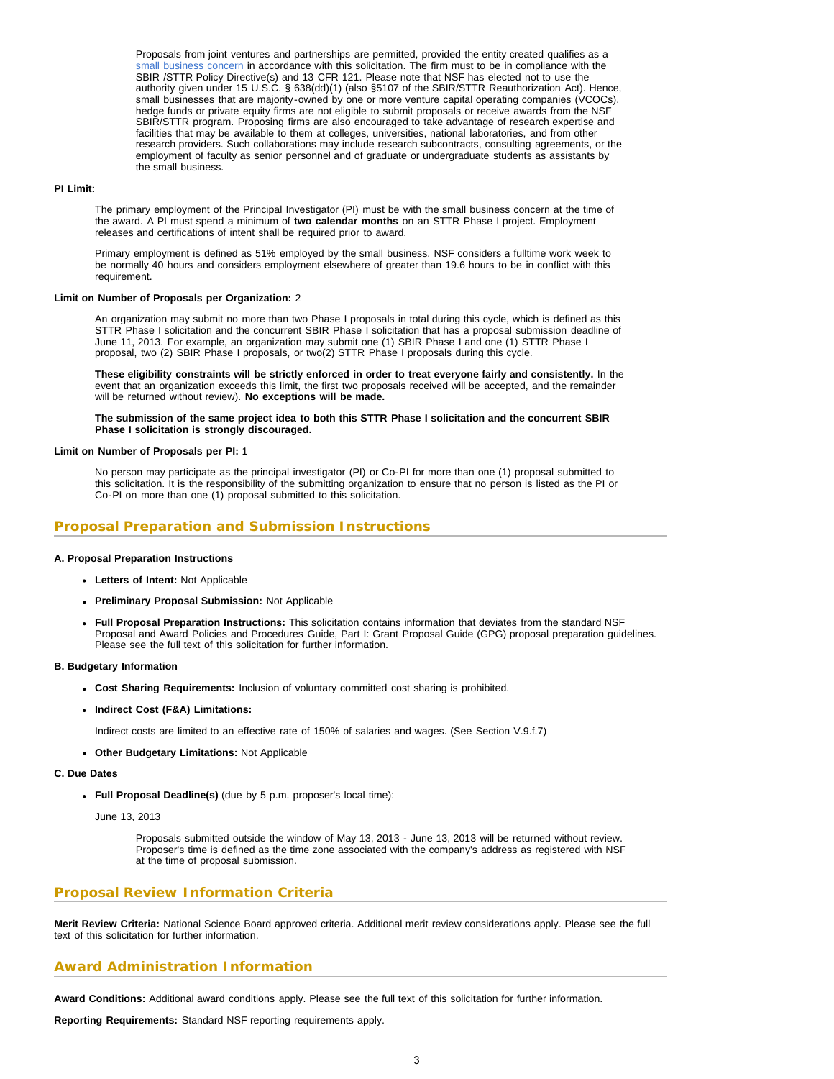Proposals from joint ventures and partnerships are permitted, provided the entity created qualifies as a [small business concern](http://sbir.gov/sites/default/files/elig_size_compliance_guide.pdf) in accordance with this solicitation. The firm must to be in compliance with the SBIR /STTR Policy Directive(s) and 13 CFR 121. Please note that NSF has elected not to use the authority given under 15 U.S.C. § 638(dd)(1) (also §5107 of the SBIR/STTR Reauthorization Act). Hence, small businesses that are majority-owned by one or more venture capital operating companies (VCOCs), hedge funds or private equity firms are not eligible to submit proposals or receive awards from the NSF SBIR/STTR program. Proposing firms are also encouraged to take advantage of research expertise and facilities that may be available to them at colleges, universities, national laboratories, and from other research providers. Such collaborations may include research subcontracts, consulting agreements, or the employment of faculty as senior personnel and of graduate or undergraduate students as assistants by the small business.

#### **PI Limit:**

The primary employment of the Principal Investigator (PI) must be with the small business concern at the time of the award. A PI must spend a minimum of **two calendar months** on an STTR Phase I project. Employment releases and certifications of intent shall be required prior to award.

Primary employment is defined as 51% employed by the small business. NSF considers a fulltime work week to be normally 40 hours and considers employment elsewhere of greater than 19.6 hours to be in conflict with this requirement.

#### **Limit on Number of Proposals per Organization:** 2

An organization may submit no more than two Phase I proposals in total during this cycle, which is defined as this STTR Phase I solicitation and the concurrent SBIR Phase I solicitation that has a proposal submission deadline of June 11, 2013. For example, an organization may submit one (1) SBIR Phase I and one (1) STTR Phase I proposal, two (2) SBIR Phase I proposals, or two(2) STTR Phase I proposals during this cycle.

**These eligibility constraints will be strictly enforced in order to treat everyone fairly and consistently.** In the event that an organization exceeds this limit, the first two proposals received will be accepted, and the remainder will be returned without review). **No exceptions will be made.**

**The submission of the same project idea to both this STTR Phase I solicitation and the concurrent SBIR Phase I solicitation is strongly discouraged.**

#### **Limit on Number of Proposals per PI:** 1

No person may participate as the principal investigator (PI) or Co-PI for more than one (1) proposal submitted to this solicitation. It is the responsibility of the submitting organization to ensure that no person is listed as the PI or Co-PI on more than one (1) proposal submitted to this solicitation.

### **Proposal Preparation and Submission Instructions**

#### **A. Proposal Preparation Instructions**

- **Letters of Intent:** Not Applicable
- **Preliminary Proposal Submission:** Not Applicable
- **Full Proposal Preparation Instructions:** This solicitation contains information that deviates from the standard NSF Proposal and Award Policies and Procedures Guide, Part I: Grant Proposal Guide (GPG) proposal preparation guidelines. Please see the full text of this solicitation for further information.

#### **B. Budgetary Information**

- **Cost Sharing Requirements:** Inclusion of voluntary committed cost sharing is prohibited.
- **Indirect Cost (F&A) Limitations:**

Indirect costs are limited to an effective rate of 150% of salaries and wages. (See Section V.9.f.7)

**Other Budgetary Limitations:** Not Applicable

#### **C. Due Dates**

**Full Proposal Deadline(s)** (due by 5 p.m. proposer's local time):

June 13, 2013

Proposals submitted outside the window of May 13, 2013 - June 13, 2013 will be returned without review. Proposer's time is defined as the time zone associated with the company's address as registered with NSF at the time of proposal submission.

### **Proposal Review Information Criteria**

**Merit Review Criteria:** National Science Board approved criteria. Additional merit review considerations apply. Please see the full text of this solicitation for further information.

### **Award Administration Information**

**Award Conditions:** Additional award conditions apply. Please see the full text of this solicitation for further information.

**Reporting Requirements:** Standard NSF reporting requirements apply.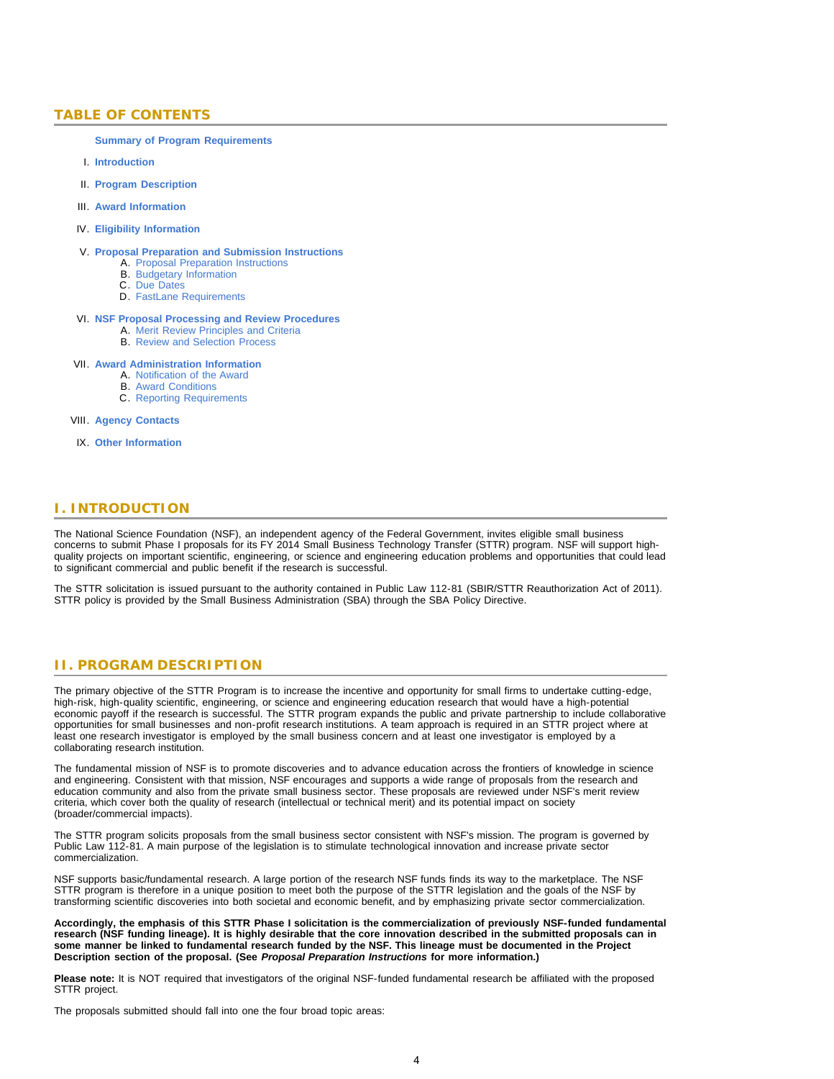### <span id="page-3-0"></span>**TABLE OF CONTENTS**

**[Summary of Program Requirements](#page-0-0)**

- I. **[Introduction](#page-3-1)**
- II. **[Program Description](#page-3-2)**
- III. **[Award Information](#page-4-0)**
- IV. **[Eligibility Information](#page-4-1)**
- V. **[Proposal Preparation and Submission Instructions](#page-5-0)**
	- A. [Proposal Preparation Instructions](#page-5-0)
		- B. [Budgetary Information](#page-11-0)
	- C. [Due Dates](#page-11-1)
	- D. [FastLane Requirements](#page-11-2)

#### VI. **[NSF Proposal Processing and Review Procedures](#page-11-3)**

- A. [Merit Review Principles and Criteria](#page-12-0)
- B. [Review and Selection Process](#page-13-0)

#### VII. **[Award Administration Information](#page-13-1)**

- A. [Notification of the Award](#page-13-2)
- B. [Award Conditions](#page-13-3)
- C. [Reporting Requirements](#page-14-0)
- VIII. **[Agency Contacts](#page-14-1)**
- IX. **[Other Information](#page-15-0)**

### <span id="page-3-1"></span>**I. INTRODUCTION**

The National Science Foundation (NSF), an independent agency of the Federal Government, invites eligible small business concerns to submit Phase I proposals for its FY 2014 Small Business Technology Transfer (STTR) program. NSF will support highquality projects on important scientific, engineering, or science and engineering education problems and opportunities that could lead to significant commercial and public benefit if the research is successful.

The STTR solicitation is issued pursuant to the authority contained in Public Law 112-81 (SBIR/STTR Reauthorization Act of 2011). STTR policy is provided by the Small Business Administration (SBA) through the SBA Policy Directive.

# <span id="page-3-2"></span>**II. PROGRAM DESCRIPTION**

The primary objective of the STTR Program is to increase the incentive and opportunity for small firms to undertake cutting-edge, high-risk, high-quality scientific, engineering, or science and engineering education research that would have a high-potential economic payoff if the research is successful. The STTR program expands the public and private partnership to include collaborative opportunities for small businesses and non-profit research institutions. A team approach is required in an STTR project where at least one research investigator is employed by the small business concern and at least one investigator is employed by a collaborating research institution.

The fundamental mission of NSF is to promote discoveries and to advance education across the frontiers of knowledge in science and engineering. Consistent with that mission, NSF encourages and supports a wide range of proposals from the research and education community and also from the private small business sector. These proposals are reviewed under NSF's merit review criteria, which cover both the quality of research (intellectual or technical merit) and its potential impact on society (broader/commercial impacts).

The STTR program solicits proposals from the small business sector consistent with NSF's mission. The program is governed by Public Law 112-81. A main purpose of the legislation is to stimulate technological innovation and increase private sector commercialization.

NSF supports basic/fundamental research. A large portion of the research NSF funds finds its way to the marketplace. The NSF STTR program is therefore in a unique position to meet both the purpose of the STTR legislation and the goals of the NSF by transforming scientific discoveries into both societal and economic benefit, and by emphasizing private sector commercialization.

**Accordingly, the emphasis of this STTR Phase I solicitation is the commercialization of previously NSF-funded fundamental research (NSF funding lineage). It is highly desirable that the core innovation described in the submitted proposals can in some manner be linked to fundamental research funded by the NSF. This lineage must be documented in the Project Description section of the proposal. (See** *Proposal Preparation Instructions* **for more information.)**

Please note: It is NOT required that investigators of the original NSF-funded fundamental research be affiliated with the proposed STTR project.

The proposals submitted should fall into one the four broad topic areas: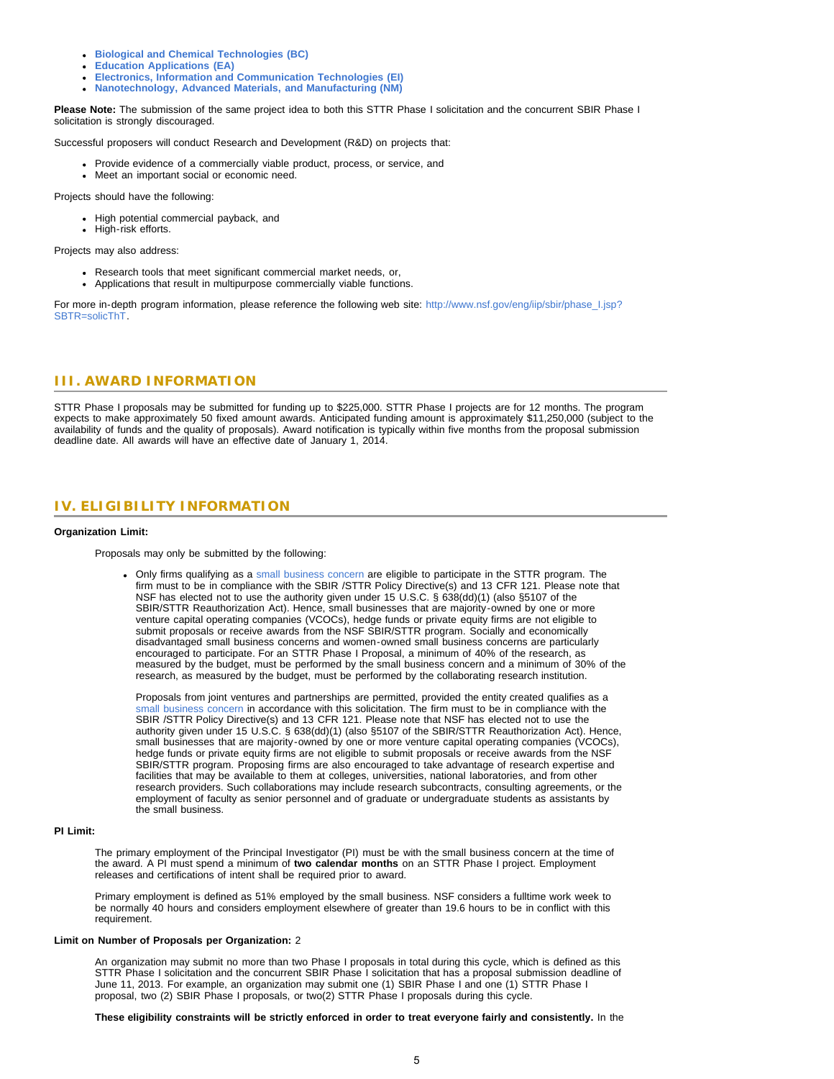- **[Biological and Chemical Technologies \(BC\)](http://www.nsf.gov/eng/iip/sbir/06_2013_bc.jsp?SBTR=solicTbc)**
- **[Education Applications \(EA\)](http://www.nsf.gov/eng/iip/sbir/06_2013_ea.jsp?SBTR=solicTea)**
- **[Electronics, Information and Communication Technologies \(EI\)](http://www.nsf.gov/eng/iip/sbir/06_2013_ei.jsp?SBTR=solicTei)**
- **[Nanotechnology, Advanced Materials, and Manufacturing \(NM\)](http://www.nsf.gov/eng/iip/sbir/06_2013_nm.jsp?SBTR=solicTnm)**

**Please Note:** The submission of the same project idea to both this STTR Phase I solicitation and the concurrent SBIR Phase I solicitation is strongly discouraged.

Successful proposers will conduct Research and Development (R&D) on projects that:

- Provide evidence of a commercially viable product, process, or service, and
- Meet an important social or economic need.

Projects should have the following:

- High potential commercial payback, and
- High-risk efforts.

Projects may also address:

- Research tools that meet significant commercial market needs, or,
- Applications that result in multipurpose commercially viable functions.

For more in-depth program information, please reference the following web site: [http://www.nsf.gov/eng/iip/sbir/phase\\_I.jsp?](http://www.nsf.gov/eng/iip/sbir/phase_I.jsp?SBTR=solicThT) [SBTR=solicThT](http://www.nsf.gov/eng/iip/sbir/phase_I.jsp?SBTR=solicThT).

# <span id="page-4-0"></span>**III. AWARD INFORMATION**

STTR Phase I proposals may be submitted for funding up to \$225,000. STTR Phase I projects are for 12 months. The program expects to make approximately 50 fixed amount awards. Anticipated funding amount is approximately \$11,250,000 (subject to the availability of funds and the quality of proposals). Award notification is typically within five months from the proposal submission deadline date. All awards will have an effective date of January 1, 2014.

### <span id="page-4-1"></span>**IV. ELIGIBILITY INFORMATION**

#### **Organization Limit:**

Proposals may only be submitted by the following:

Only firms qualifying as a [small business concern](http://sbir.gov/sites/default/files/elig_size_compliance_guide.pdf) are eligible to participate in the STTR program. The firm must to be in compliance with the SBIR /STTR Policy Directive(s) and 13 CFR 121. Please note that NSF has elected not to use the authority given under 15 U.S.C. § 638(dd)(1) (also §5107 of the SBIR/STTR Reauthorization Act). Hence, small businesses that are majority-owned by one or more venture capital operating companies (VCOCs), hedge funds or private equity firms are not eligible to submit proposals or receive awards from the NSF SBIR/STTR program. Socially and economically disadvantaged small business concerns and women-owned small business concerns are particularly encouraged to participate. For an STTR Phase I Proposal, a minimum of 40% of the research, as measured by the budget, must be performed by the small business concern and a minimum of 30% of the research, as measured by the budget, must be performed by the collaborating research institution.

Proposals from joint ventures and partnerships are permitted, provided the entity created qualifies as a [small business concern](http://sbir.gov/sites/default/files/elig_size_compliance_guide.pdf) in accordance with this solicitation. The firm must to be in compliance with the SBIR /STTR Policy Directive(s) and 13 CFR 121. Please note that NSF has elected not to use the authority given under 15 U.S.C. § 638(dd)(1) (also §5107 of the SBIR/STTR Reauthorization Act). Hence, small businesses that are majority-owned by one or more venture capital operating companies (VCOCs), hedge funds or private equity firms are not eligible to submit proposals or receive awards from the NSF SBIR/STTR program. Proposing firms are also encouraged to take advantage of research expertise and facilities that may be available to them at colleges, universities, national laboratories, and from other research providers. Such collaborations may include research subcontracts, consulting agreements, or the employment of faculty as senior personnel and of graduate or undergraduate students as assistants by the small business.

#### **PI Limit:**

The primary employment of the Principal Investigator (PI) must be with the small business concern at the time of the award. A PI must spend a minimum of **two calendar months** on an STTR Phase I project. Employment releases and certifications of intent shall be required prior to award.

Primary employment is defined as 51% employed by the small business. NSF considers a fulltime work week to be normally 40 hours and considers employment elsewhere of greater than 19.6 hours to be in conflict with this requirement.

#### **Limit on Number of Proposals per Organization:** 2

An organization may submit no more than two Phase I proposals in total during this cycle, which is defined as this STTR Phase I solicitation and the concurrent SBIR Phase I solicitation that has a proposal submission deadline of June 11, 2013. For example, an organization may submit one (1) SBIR Phase I and one (1) STTR Phase I proposal, two (2) SBIR Phase I proposals, or two(2) STTR Phase I proposals during this cycle.

**These eligibility constraints will be strictly enforced in order to treat everyone fairly and consistently.** In the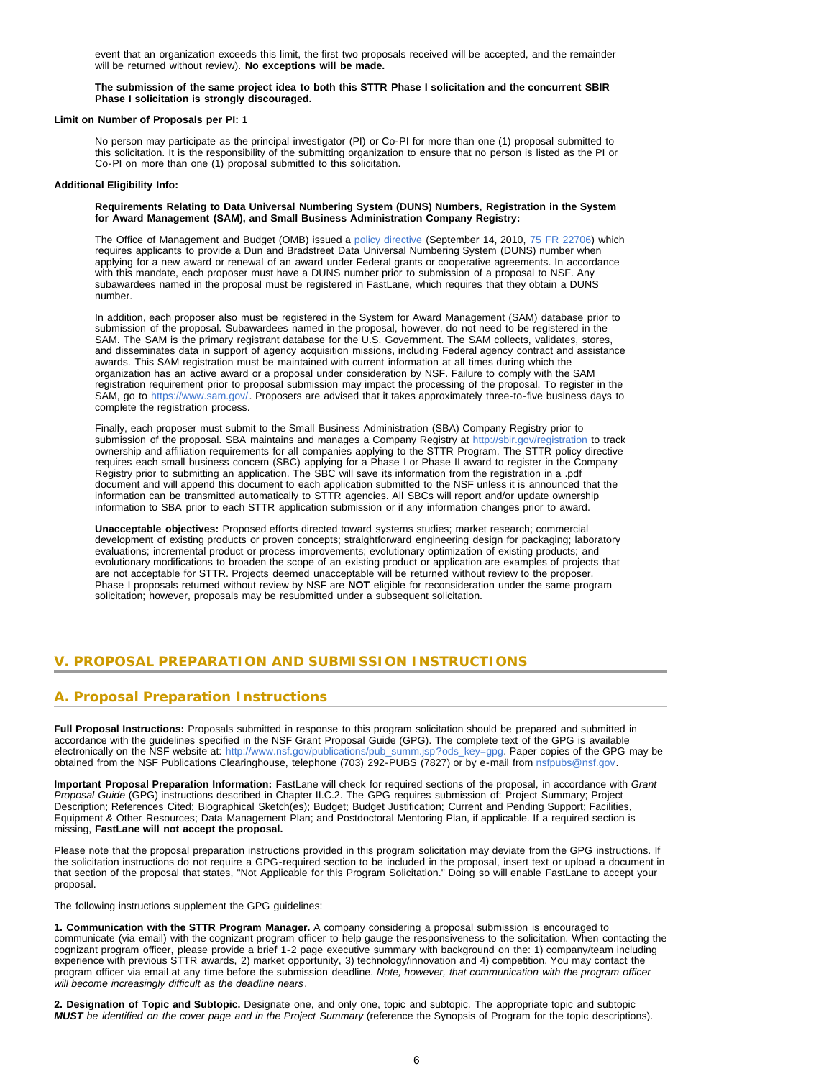event that an organization exceeds this limit, the first two proposals received will be accepted, and the remainder will be returned without review). **No exceptions will be made.**

#### **The submission of the same project idea to both this STTR Phase I solicitation and the concurrent SBIR Phase I solicitation is strongly discouraged.**

#### **Limit on Number of Proposals per PI:** 1

No person may participate as the principal investigator (PI) or Co-PI for more than one (1) proposal submitted to this solicitation. It is the responsibility of the submitting organization to ensure that no person is listed as the PI or Co-PI on more than one (1) proposal submitted to this solicitation.

#### **Additional Eligibility Info:**

#### **Requirements Relating to Data Universal Numbering System (DUNS) Numbers, Registration in the System for Award Management (SAM), and Small Business Administration Company Registry:**

The Office of Management and Budget (OMB) issued a [policy directive](http://edocket.access.gpo.gov/2010/2010-22706.htm) (September 14, 2010, [75 FR 22706](http://www.gpo.gov/fdsys/pkg/FR-2010-09-14/html/2010-22706.htm)) which requires applicants to provide a Dun and Bradstreet Data Universal Numbering System (DUNS) number when applying for a new award or renewal of an award under Federal grants or cooperative agreements. In accordance with this mandate, each proposer must have a DUNS number prior to submission of a proposal to NSF. Any subawardees named in the proposal must be registered in FastLane, which requires that they obtain a DUNS number.

In addition, each proposer also must be registered in the System for Award Management (SAM) database prior to submission of the proposal. Subawardees named in the proposal, however, do not need to be registered in the SAM. The SAM is the primary registrant database for the U.S. Government. The SAM collects, validates, stores, and disseminates data in support of agency acquisition missions, including Federal agency contract and assistance awards. This SAM registration must be maintained with current information at all times during which the organization has an active award or a proposal under consideration by NSF. Failure to comply with the SAM registration requirement prior to proposal submission may impact the processing of the proposal. To register in the SAM, go to <https://www.sam.gov/>. Proposers are advised that it takes approximately three-to-five business days to complete the registration process.

Finally, each proposer must submit to the Small Business Administration (SBA) Company Registry prior to submission of the proposal. SBA maintains and manages a Company Registry at<http://sbir.gov/registration> to track ownership and affiliation requirements for all companies applying to the STTR Program. The STTR policy directive requires each small business concern (SBC) applying for a Phase I or Phase II award to register in the Company Registry prior to submitting an application. The SBC will save its information from the registration in a .pdf document and will append this document to each application submitted to the NSF unless it is announced that the information can be transmitted automatically to STTR agencies. All SBCs will report and/or update ownership information to SBA prior to each STTR application submission or if any information changes prior to award.

**Unacceptable objectives:** Proposed efforts directed toward systems studies; market research; commercial development of existing products or proven concepts; straightforward engineering design for packaging; laboratory evaluations; incremental product or process improvements; evolutionary optimization of existing products; and evolutionary modifications to broaden the scope of an existing product or application are examples of projects that are not acceptable for STTR. Projects deemed unacceptable will be returned without review to the proposer. Phase I proposals returned without review by NSF are **NOT** eligible for reconsideration under the same program solicitation; however, proposals may be resubmitted under a subsequent solicitation.

# <span id="page-5-0"></span>**V. PROPOSAL PREPARATION AND SUBMISSION INSTRUCTIONS**

# **A. Proposal Preparation Instructions**

**Full Proposal Instructions:** Proposals submitted in response to this program solicitation should be prepared and submitted in accordance with the guidelines specified in the NSF Grant Proposal Guide (GPG). The complete text of the GPG is available electronically on the NSF website at: [http://www.nsf.gov/publications/pub\\_summ.jsp?ods\\_key=gpg.](http://www.nsf.gov/publications/pub_summ.jsp?ods_key=gpg) Paper copies of the GPG may be obtained from the NSF Publications Clearinghouse, telephone (703) 292-PUBS (7827) or by e-mail from [nsfpubs@nsf.gov.](mailto:nsfpubs@nsf.gov)

**Important Proposal Preparation Information:** FastLane will check for required sections of the proposal, in accordance with *Grant Proposal Guide* (GPG) instructions described in Chapter II.C.2. The GPG requires submission of: Project Summary; Project Description; References Cited; Biographical Sketch(es); Budget; Budget Justification; Current and Pending Support; Facilities, Equipment & Other Resources; Data Management Plan; and Postdoctoral Mentoring Plan, if applicable. If a required section is missing, **FastLane will not accept the proposal.**

Please note that the proposal preparation instructions provided in this program solicitation may deviate from the GPG instructions. If the solicitation instructions do not require a GPG-required section to be included in the proposal, insert text or upload a document in that section of the proposal that states, "Not Applicable for this Program Solicitation." Doing so will enable FastLane to accept your proposal.

The following instructions supplement the GPG guidelines:

**1. Communication with the STTR Program Manager.** A company considering a proposal submission is encouraged to communicate (via email) with the cognizant program officer to help gauge the responsiveness to the solicitation. When contacting the cognizant program officer, please provide a brief 1-2 page executive summary with background on the: 1) company/team including experience with previous STTR awards, 2) market opportunity, 3) technology/innovation and 4) competition. You may contact the program officer via email at any time before the submission deadline. *Note, however, that communication with the program officer will become increasingly difficult as the deadline nears*.

**2. Designation of Topic and Subtopic.** Designate one, and only one, topic and subtopic. The appropriate topic and subtopic *MUST be identified on the cover page and in the Project Summary* (reference the Synopsis of Program for the topic descriptions).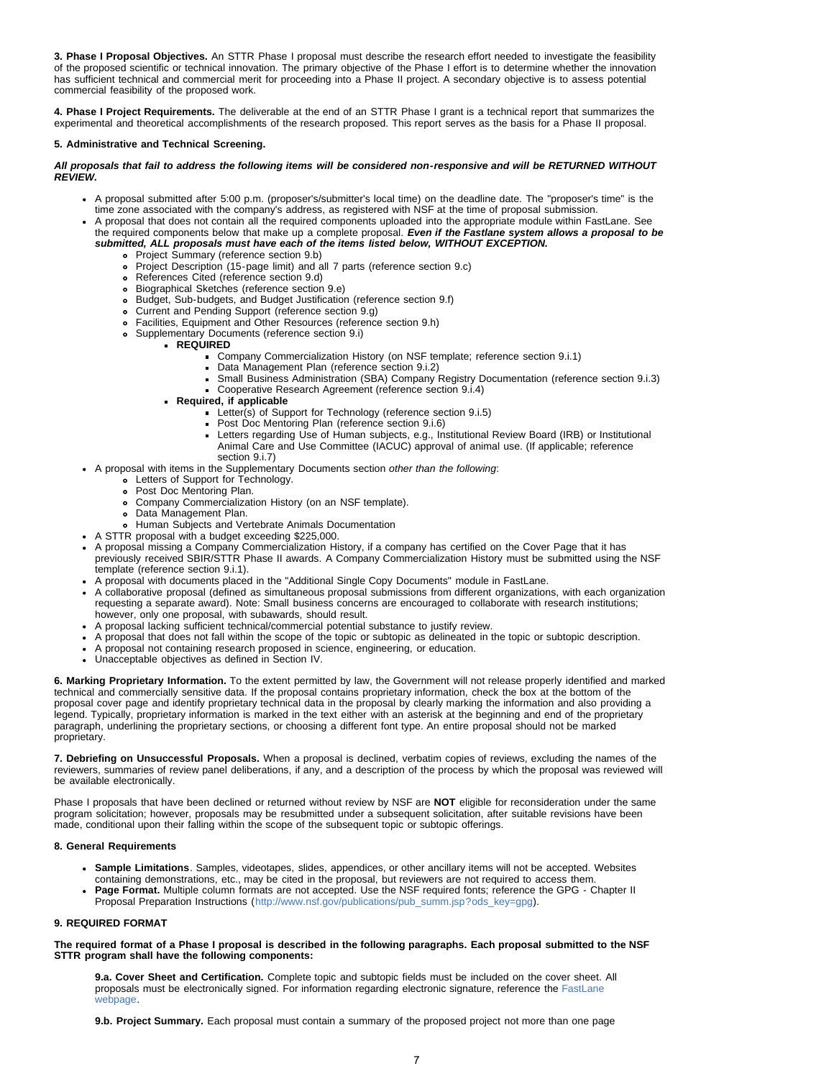**3. Phase I Proposal Objectives.** An STTR Phase I proposal must describe the research effort needed to investigate the feasibility of the proposed scientific or technical innovation. The primary objective of the Phase I effort is to determine whether the innovation has sufficient technical and commercial merit for proceeding into a Phase II project. A secondary objective is to assess potential commercial feasibility of the proposed work.

**4. Phase I Project Requirements.** The deliverable at the end of an STTR Phase I grant is a technical report that summarizes the experimental and theoretical accomplishments of the research proposed. This report serves as the basis for a Phase II proposal.

#### **5. Administrative and Technical Screening.**

#### *All proposals that fail to address the following items will be considered non-responsive and will be RETURNED WITHOUT REVIEW.*

- A proposal submitted after 5:00 p.m. (proposer's/submitter's local time) on the deadline date. The "proposer's time" is the time zone associated with the company's address, as registered with NSF at the time of proposal submission.
- A proposal that does not contain all the required components uploaded into the appropriate module within FastLane. See the required components below that make up a complete proposal. *Even if the Fastlane system allows a proposal to be submitted, ALL proposals must have each of the items listed below, WITHOUT EXCEPTION.*
	- Project Summary (reference section 9.b)
	- Project Description (15-page limit) and all 7 parts (reference section 9.c)
	- References Cited (reference section 9.d)
	- Biographical Sketches (reference section 9.e)  $\bullet$
	- Budget, Sub-budgets, and Budget Justification (reference section 9.f)
	- Current and Pending Support (reference section 9.g)  $\bullet$
	- Facilities, Equipment and Other Resources (reference section 9.h) Supplementary Documents (reference section 9.i)
		- - **REQUIRED**
				- Company Commercialization History (on NSF template; reference section 9.i.1)
					- Data Management Plan (reference section 9.i.2)
				- Small Business Administration (SBA) Company Registry Documentation (reference section 9.i.3)  $\blacksquare$ Cooperative Research Agreement (reference section 9.i.4)
				- **Required, if applicable**
					- **Letter(s) of Support for Technology (reference section 9.i.5)**
					- Post Doc Mentoring Plan (reference section 9.i.6)
					- Letters regarding Use of Human subjects, e.g., Institutional Review Board (IRB) or Institutional Animal Care and Use Committee (IACUC) approval of animal use. (If applicable; reference section 9.i.7)
	- A proposal with items in the Supplementary Documents section *other than the following*:
		- Letters of Support for Technology.
			- Post Doc Mentoring Plan.
			- $\bullet$ Company Commercialization History (on an NSF template).
			- Data Management Plan.
		- Human Subjects and Vertebrate Animals Documentation
- A STTR proposal with a budget exceeding \$225,000.
- A proposal missing a Company Commercialization History, if a company has certified on the Cover Page that it has previously received SBIR/STTR Phase II awards. A Company Commercialization History must be submitted using the NSF template (reference section 9.i.1).
- A proposal with documents placed in the "Additional Single Copy Documents" module in FastLane.
- A collaborative proposal (defined as simultaneous proposal submissions from different organizations, with each organization requesting a separate award). Note: Small business concerns are encouraged to collaborate with research institutions; however, only one proposal, with subawards, should result.
- A proposal lacking sufficient technical/commercial potential substance to justify review.
- A proposal that does not fall within the scope of the topic or subtopic as delineated in the topic or subtopic description.
- A proposal not containing research proposed in science, engineering, or education.
- Unacceptable objectives as defined in Section IV.

**6. Marking Proprietary Information.** To the extent permitted by law, the Government will not release properly identified and marked technical and commercially sensitive data. If the proposal contains proprietary information, check the box at the bottom of the proposal cover page and identify proprietary technical data in the proposal by clearly marking the information and also providing a legend. Typically, proprietary information is marked in the text either with an asterisk at the beginning and end of the proprietary paragraph, underlining the proprietary sections, or choosing a different font type. An entire proposal should not be marked proprietary.

**7. Debriefing on Unsuccessful Proposals.** When a proposal is declined, verbatim copies of reviews, excluding the names of the reviewers, summaries of review panel deliberations, if any, and a description of the process by which the proposal was reviewed will be available electronically.

Phase I proposals that have been declined or returned without review by NSF are **NOT** eligible for reconsideration under the same program solicitation; however, proposals may be resubmitted under a subsequent solicitation, after suitable revisions have been made, conditional upon their falling within the scope of the subsequent topic or subtopic offerings.

#### **8. General Requirements**

- **Sample Limitations**. Samples, videotapes, slides, appendices, or other ancillary items will not be accepted. Websites containing demonstrations, etc., may be cited in the proposal, but reviewers are not required to access them.
- **Page Format.** Multiple column formats are not accepted. Use the NSF required fonts; reference the GPG Chapter II Proposal Preparation Instructions ([http://www.nsf.gov/publications/pub\\_summ.jsp?ods\\_key=gpg\)](http://www.nsf.gov/publications/pub_summ.jsp?ods_key=gpg).

#### **9. REQUIRED FORMAT**

**The required format of a Phase I proposal is described in the following paragraphs. Each proposal submitted to the NSF STTR program shall have the following components:**

**9.a. Cover Sheet and Certification.** Complete topic and subtopic fields must be included on the cover sheet. All proposals must be electronically signed. For information regarding electronic signature, reference the [FastLane](https://www.fastlane.nsf.gov/NSFHelp/flashhelp/fastlane/FastLane_Help/fastlane_help.htm#proposal_functions_introduction.htm) [webpage.](https://www.fastlane.nsf.gov/NSFHelp/flashhelp/fastlane/FastLane_Help/fastlane_help.htm#proposal_functions_introduction.htm)

**9.b. Project Summary.** Each proposal must contain a summary of the proposed project not more than one page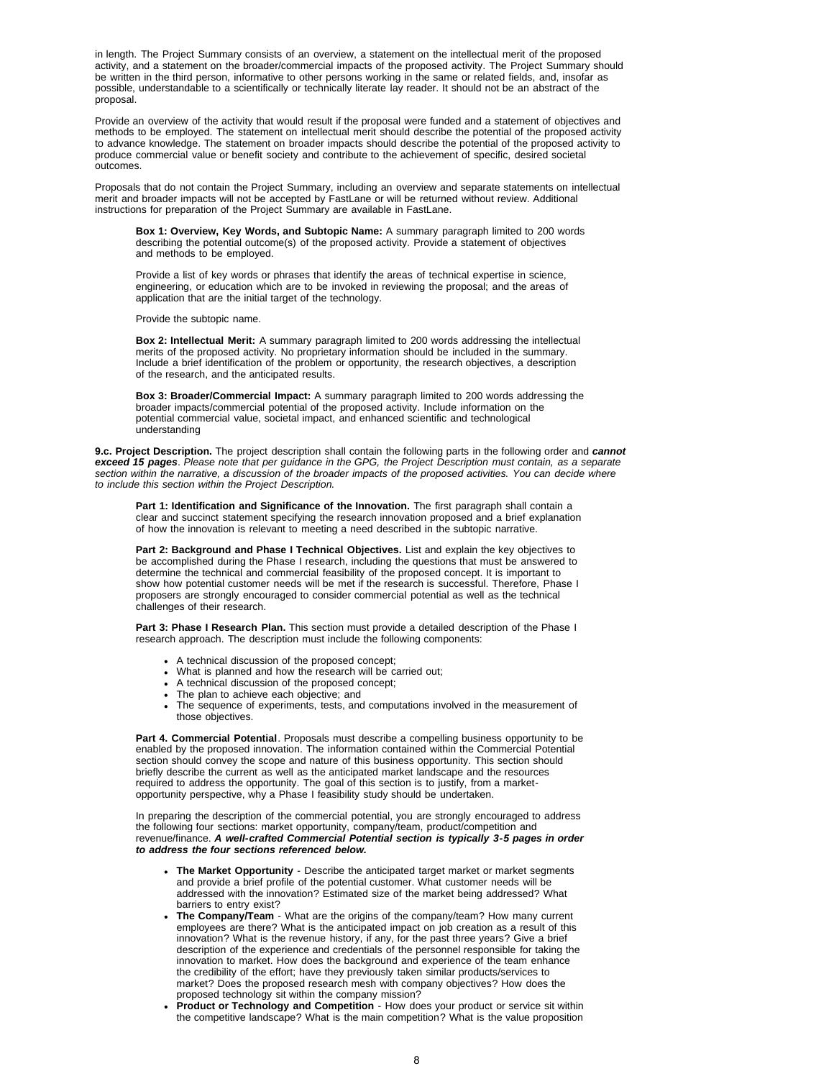in length. The Project Summary consists of an overview, a statement on the intellectual merit of the proposed activity, and a statement on the broader/commercial impacts of the proposed activity. The Project Summary should be written in the third person, informative to other persons working in the same or related fields, and, insofar as possible, understandable to a scientifically or technically literate lay reader. It should not be an abstract of the proposal.

Provide an overview of the activity that would result if the proposal were funded and a statement of objectives and methods to be employed. The statement on intellectual merit should describe the potential of the proposed activity to advance knowledge. The statement on broader impacts should describe the potential of the proposed activity to produce commercial value or benefit society and contribute to the achievement of specific, desired societal outcomes.

Proposals that do not contain the Project Summary, including an overview and separate statements on intellectual merit and broader impacts will not be accepted by FastLane or will be returned without review. Additional instructions for preparation of the Project Summary are available in FastLane.

**Box 1: Overview, Key Words, and Subtopic Name:** A summary paragraph limited to 200 words describing the potential outcome(s) of the proposed activity. Provide a statement of objectives and methods to be employed.

Provide a list of key words or phrases that identify the areas of technical expertise in science, engineering, or education which are to be invoked in reviewing the proposal; and the areas of application that are the initial target of the technology.

Provide the subtopic name.

**Box 2: Intellectual Merit:** A summary paragraph limited to 200 words addressing the intellectual merits of the proposed activity. No proprietary information should be included in the summary. Include a brief identification of the problem or opportunity, the research objectives, a description of the research, and the anticipated results.

**Box 3: Broader/Commercial Impact:** A summary paragraph limited to 200 words addressing the broader impacts/commercial potential of the proposed activity. Include information on the potential commercial value, societal impact, and enhanced scientific and technological understanding

**9.c. Project Description.** The project description shall contain the following parts in the following order and *cannot exceed 15 pages*. *Please note that per guidance in the GPG, the Project Description must contain, as a separate section within the narrative, a discussion of the broader impacts of the proposed activities. You can decide where to include this section within the Project Description.*

**Part 1: Identification and Significance of the Innovation.** The first paragraph shall contain a clear and succinct statement specifying the research innovation proposed and a brief explanation of how the innovation is relevant to meeting a need described in the subtopic narrative.

**Part 2: Background and Phase I Technical Objectives.** List and explain the key objectives to be accomplished during the Phase I research, including the questions that must be answered to determine the technical and commercial feasibility of the proposed concept. It is important to show how potential customer needs will be met if the research is successful. Therefore, Phase I proposers are strongly encouraged to consider commercial potential as well as the technical challenges of their research.

**Part 3: Phase I Research Plan.** This section must provide a detailed description of the Phase I research approach. The description must include the following components:

- A technical discussion of the proposed concept;
- What is planned and how the research will be carried out;
- A technical discussion of the proposed concept;
- The plan to achieve each objective; and
- The sequence of experiments, tests, and computations involved in the measurement of those objectives.

Part 4. Commercial Potential. Proposals must describe a compelling business opportunity to be enabled by the proposed innovation. The information contained within the Commercial Potential section should convey the scope and nature of this business opportunity. This section should briefly describe the current as well as the anticipated market landscape and the resources required to address the opportunity. The goal of this section is to justify, from a marketopportunity perspective, why a Phase I feasibility study should be undertaken.

In preparing the description of the commercial potential, you are strongly encouraged to address the following four sections: market opportunity, company/team, product/competition and revenue/finance. *A well-crafted Commercial Potential section is typically 3-5 pages in order to address the four sections referenced below.*

- **The Market Opportunity** Describe the anticipated target market or market segments and provide a brief profile of the potential customer. What customer needs will be addressed with the innovation? Estimated size of the market being addressed? What barriers to entry exist?
- **The Company/Team** What are the origins of the company/team? How many current employees are there? What is the anticipated impact on job creation as a result of this innovation? What is the revenue history, if any, for the past three years? Give a brief description of the experience and credentials of the personnel responsible for taking the innovation to market. How does the background and experience of the team enhance the credibility of the effort; have they previously taken similar products/services to market? Does the proposed research mesh with company objectives? How does the proposed technology sit within the company mission?
- **Product or Technology and Competition** How does your product or service sit within the competitive landscape? What is the main competition? What is the value proposition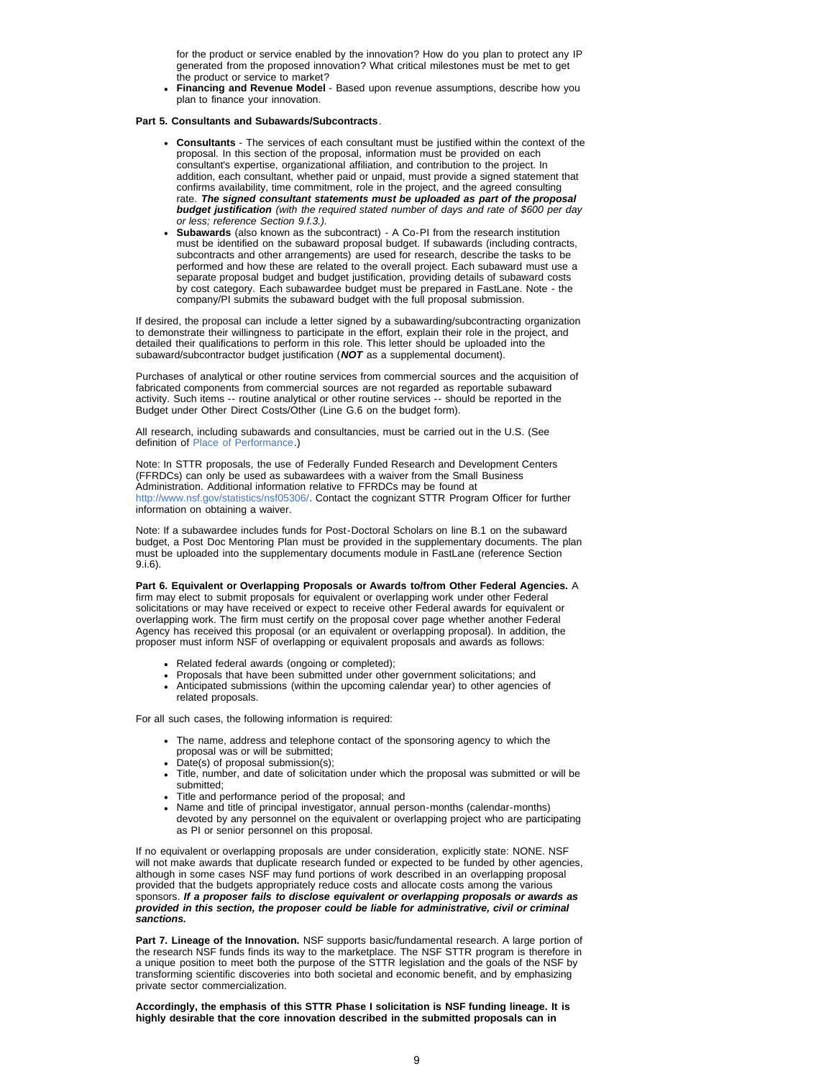for the product or service enabled by the innovation? How do you plan to protect any IP generated from the proposed innovation? What critical milestones must be met to get the product or service to market?

**Financing and Revenue Model** - Based upon revenue assumptions, describe how you plan to finance your innovation.

#### **Part 5. Consultants and Subawards/Subcontracts**.

- **Consultants** The services of each consultant must be justified within the context of the proposal. In this section of the proposal, information must be provided on each consultant's expertise, organizational affiliation, and contribution to the project. In addition, each consultant, whether paid or unpaid, must provide a signed statement that confirms availability, time commitment, role in the project, and the agreed consulting rate. *The signed consultant statements must be uploaded as part of the proposal budget justification (with the required stated number of days and rate of \$600 per day or less; reference Section 9.f.3.).*
- **Subawards** (also known as the subcontract) A Co-PI from the research institution must be identified on the subaward proposal budget. If subawards (including contracts, subcontracts and other arrangements) are used for research, describe the tasks to be performed and how these are related to the overall project. Each subaward must use a separate proposal budget and budget justification, providing details of subaward costs by cost category. Each subawardee budget must be prepared in FastLane. Note - the company/PI submits the subaward budget with the full proposal submission.

If desired, the proposal can include a letter signed by a subawarding/subcontracting organization to demonstrate their willingness to participate in the effort, explain their role in the project, and detailed their qualifications to perform in this role. This letter should be uploaded into the subaward/subcontractor budget justification (*NOT* as a supplemental document).

Purchases of analytical or other routine services from commercial sources and the acquisition of fabricated components from commercial sources are not regarded as reportable subaward activity. Such items -- routine analytical or other routine services -- should be reported in the Budget under Other Direct Costs/Other (Line G.6 on the budget form).

All research, including subawards and consultancies, must be carried out in the U.S. (See definition of [Place of Performance](http://www.nsf.gov/eng/iip/sbir/definitions.jsp).)

Note: In STTR proposals, the use of Federally Funded Research and Development Centers (FFRDCs) can only be used as subawardees with a waiver from the Small Business Administration. Additional information relative to FFRDCs may be found at [http://www.nsf.gov/statistics/nsf05306/.](http://www.nsf.gov/statistics/nsf05306/) Contact the cognizant STTR Program Officer for further information on obtaining a waiver.

Note: If a subawardee includes funds for Post-Doctoral Scholars on line B.1 on the subaward budget, a Post Doc Mentoring Plan must be provided in the supplementary documents. The plan must be uploaded into the supplementary documents module in FastLane (reference Section 9.i.6).

**Part 6. Equivalent or Overlapping Proposals or Awards to/from Other Federal Agencies.** A firm may elect to submit proposals for equivalent or overlapping work under other Federal solicitations or may have received or expect to receive other Federal awards for equivalent or overlapping work. The firm must certify on the proposal cover page whether another Federal Agency has received this proposal (or an equivalent or overlapping proposal). In addition, the proposer must inform NSF of overlapping or equivalent proposals and awards as follows:

- Related federal awards (ongoing or completed);
- Proposals that have been submitted under other government solicitations; and
- Anticipated submissions (within the upcoming calendar year) to other agencies of related proposals.

For all such cases, the following information is required:

- The name, address and telephone contact of the sponsoring agency to which the proposal was or will be submitted;
- Date(s) of proposal submission(s);
- Title, number, and date of solicitation under which the proposal was submitted or will be submitted;
- Title and performance period of the proposal; and
- Name and title of principal investigator, annual person-months (calendar-months) devoted by any personnel on the equivalent or overlapping project who are participating as PI or senior personnel on this proposal.

If no equivalent or overlapping proposals are under consideration, explicitly state: NONE. NSF will not make awards that duplicate research funded or expected to be funded by other agencies, although in some cases NSF may fund portions of work described in an overlapping proposal provided that the budgets appropriately reduce costs and allocate costs among the various sponsors. *If a proposer fails to disclose equivalent or overlapping proposals or awards as provided in this section, the proposer could be liable for administrative, civil or criminal sanctions.*

**Part 7. Lineage of the Innovation.** NSF supports basic/fundamental research. A large portion of the research NSF funds finds its way to the marketplace. The NSF STTR program is therefore in a unique position to meet both the purpose of the STTR legislation and the goals of the NSF by transforming scientific discoveries into both societal and economic benefit, and by emphasizing private sector commercialization.

**Accordingly, the emphasis of this STTR Phase I solicitation is NSF funding lineage. It is highly desirable that the core innovation described in the submitted proposals can in**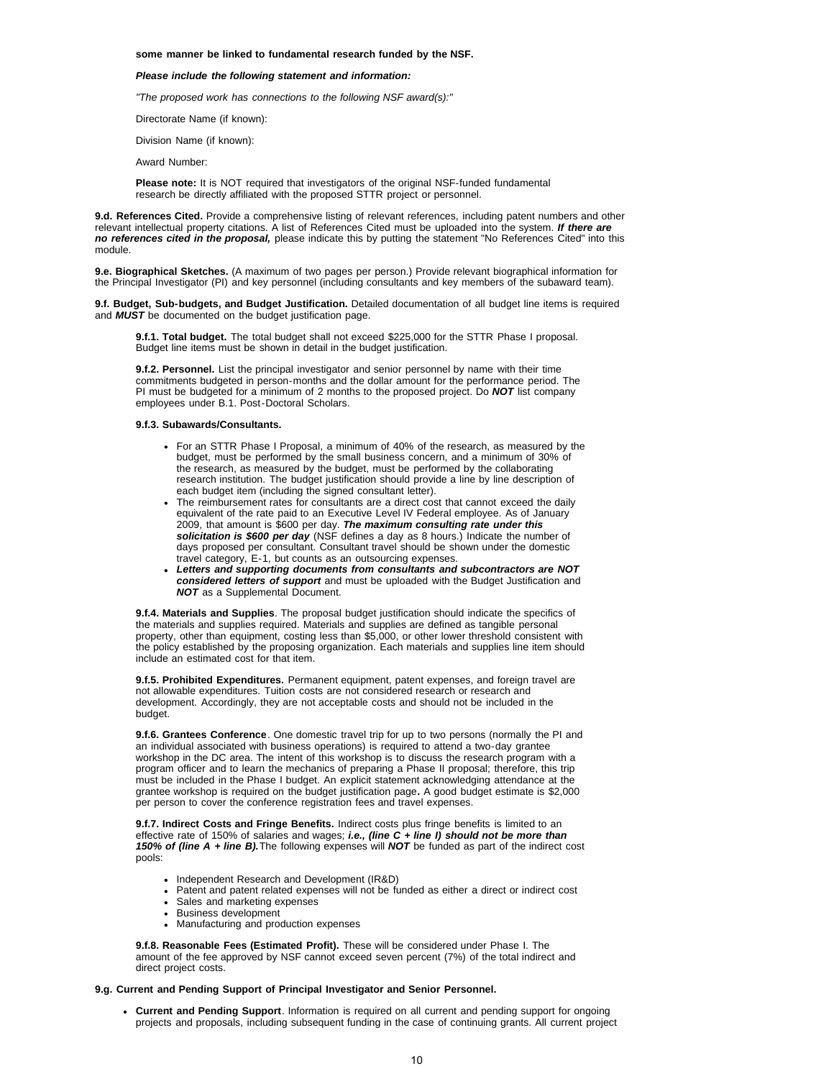**some manner be linked to fundamental research funded by the NSF.**

#### *Please include the following statement and information:*

*"The proposed work has connections to the following NSF award(s):"*

Directorate Name (if known):

Division Name (if known):

Award Number:

**Please note:** It is NOT required that investigators of the original NSF-funded fundamental research be directly affiliated with the proposed STTR project or personnel.

**9.d. References Cited.** Provide a comprehensive listing of relevant references, including patent numbers and other relevant intellectual property citations. A list of References Cited must be uploaded into the system. *If there are no references cited in the proposal,* please indicate this by putting the statement "No References Cited" into this module.

**9.e. Biographical Sketches.** (A maximum of two pages per person.) Provide relevant biographical information for the Principal Investigator (PI) and key personnel (including consultants and key members of the subaward team).

**9.f. Budget, Sub-budgets, and Budget Justification.** Detailed documentation of all budget line items is required and *MUST* be documented on the budget justification page.

**9.f.1. Total budget.** The total budget shall not exceed \$225,000 for the STTR Phase I proposal. Budget line items must be shown in detail in the budget justification.

**9.f.2. Personnel.** List the principal investigator and senior personnel by name with their time commitments budgeted in person-months and the dollar amount for the performance period. The PI must be budgeted for a minimum of 2 months to the proposed project. Do *NOT* list company employees under B.1. Post-Doctoral Scholars.

#### **9.f.3. Subawards/Consultants.**

- For an STTR Phase I Proposal, a minimum of 40% of the research, as measured by the budget, must be performed by the small business concern, and a minimum of 30% of the research, as measured by the budget, must be performed by the collaborating research institution. The budget justification should provide a line by line description of each budget item (including the signed consultant letter).
- The reimbursement rates for consultants are a direct cost that cannot exceed the daily equivalent of the rate paid to an Executive Level IV Federal employee. As of January 2009, that amount is \$600 per day. *The maximum consulting rate under this solicitation is \$600 per day* (NSF defines a day as 8 hours.) Indicate the number of days proposed per consultant. Consultant travel should be shown under the domestic travel category, E-1, but counts as an outsourcing expenses.
- *Letters and supporting documents from consultants and subcontractors are NOT considered letters of support* and must be uploaded with the Budget Justification and *NOT* as a Supplemental Document.

**9.f.4. Materials and Supplies**. The proposal budget justification should indicate the specifics of the materials and supplies required. Materials and supplies are defined as tangible personal property, other than equipment, costing less than \$5,000, or other lower threshold consistent with the policy established by the proposing organization. Each materials and supplies line item should include an estimated cost for that item.

**9.f.5. Prohibited Expenditures.** Permanent equipment, patent expenses, and foreign travel are not allowable expenditures. Tuition costs are not considered research or research and development. Accordingly, they are not acceptable costs and should not be included in the budget.

**9.f.6. Grantees Conference**. One domestic travel trip for up to two persons (normally the PI and an individual associated with business operations) is required to attend a two-day grantee workshop in the DC area. The intent of this workshop is to discuss the research program with a program officer and to learn the mechanics of preparing a Phase II proposal; therefore, this trip must be included in the Phase I budget. An explicit statement acknowledging attendance at the grantee workshop is required on the budget justification page*.* A good budget estimate is \$2,000 per person to cover the conference registration fees and travel expenses.

**9.f.7. Indirect Costs and Fringe Benefits.** Indirect costs plus fringe benefits is limited to an effective rate of 150% of salaries and wages; *i.e., (line C + line I) should not be more than 150% of (line A + line B).*The following expenses will *NOT* be funded as part of the indirect cost pools:

- Independent Research and Development (IR&D)
- Patent and patent related expenses will not be funded as either a direct or indirect cost
- Sales and marketing expenses
- Business development
- Manufacturing and production expenses

**9.f.8. Reasonable Fees (Estimated Profit).** These will be considered under Phase I. The amount of the fee approved by NSF cannot exceed seven percent (7%) of the total indirect and direct project costs.

#### **9.g. Current and Pending Support of Principal Investigator and Senior Personnel.**

**Current and Pending Support**. Information is required on all current and pending support for ongoing projects and proposals, including subsequent funding in the case of continuing grants. All current project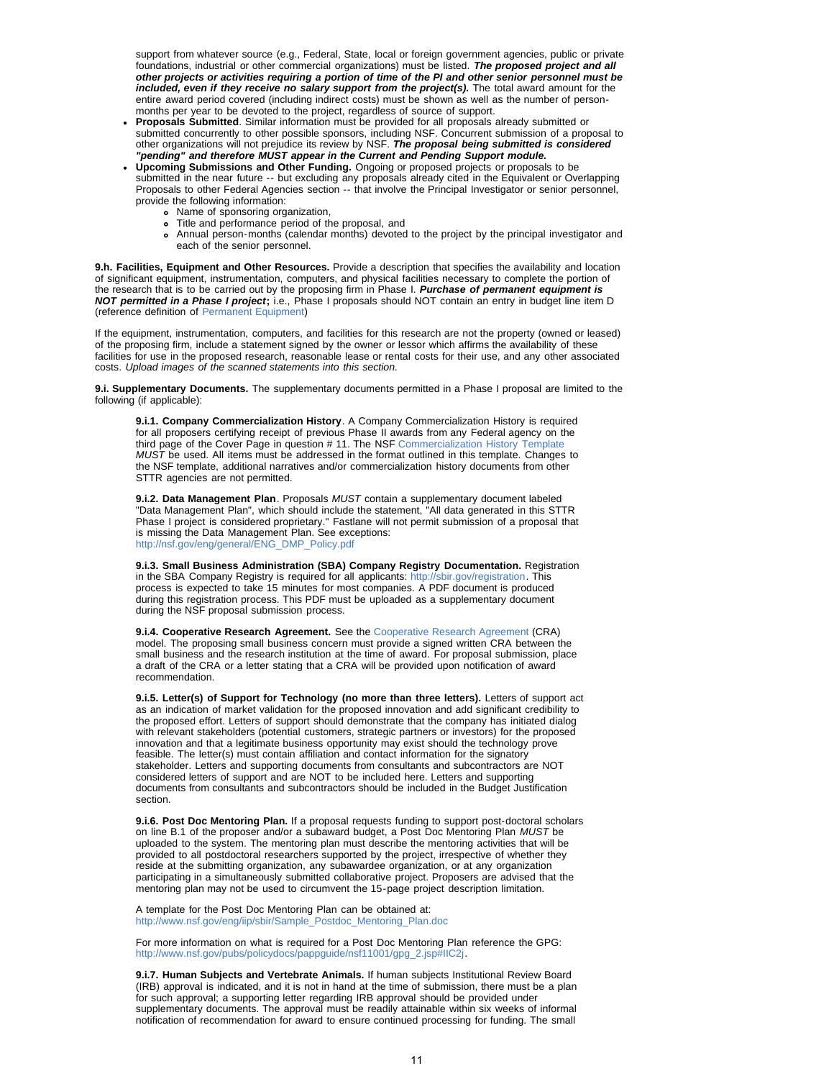support from whatever source (e.g., Federal, State, local or foreign government agencies, public or private foundations, industrial or other commercial organizations) must be listed. *The proposed project and all other projects or activities requiring a portion of time of the PI and other senior personnel must be included, even if they receive no salary support from the project(s).* The total award amount for the entire award period covered (including indirect costs) must be shown as well as the number of personmonths per year to be devoted to the project, regardless of source of support.

- **Proposals Submitted**. Similar information must be provided for all proposals already submitted or submitted concurrently to other possible sponsors, including NSF. Concurrent submission of a proposal to other organizations will not prejudice its review by NSF. *The proposal being submitted is considered "pending" and therefore MUST appear in the Current and Pending Support module.*
- **Upcoming Submissions and Other Funding.** Ongoing or proposed projects or proposals to be submitted in the near future -- but excluding any proposals already cited in the Equivalent or Overlapping Proposals to other Federal Agencies section -- that involve the Principal Investigator or senior personnel, provide the following information:
	- Name of sponsoring organization,
	- Title and performance period of the proposal, and
	- Annual person-months (calendar months) devoted to the project by the principal investigator and each of the senior personnel.

**9.h. Facilities, Equipment and Other Resources.** Provide a description that specifies the availability and location of significant equipment, instrumentation, computers, and physical facilities necessary to complete the portion of the research that is to be carried out by the proposing firm in Phase I. *Purchase of permanent equipment is NOT permitted in a Phase I project***;** i.e., Phase I proposals should NOT contain an entry in budget line item D (reference definition of [Permanent Equipment\)](http://www.nsf.gov/eng/iip/sbir/definitions.jsp)

If the equipment, instrumentation, computers, and facilities for this research are not the property (owned or leased) of the proposing firm, include a statement signed by the owner or lessor which affirms the availability of these facilities for use in the proposed research, reasonable lease or rental costs for their use, and any other associated costs. *Upload images of the scanned statements into this section.*

**9.i. Supplementary Documents.** The supplementary documents permitted in a Phase I proposal are limited to the following (if applicable):

**9.i.1. Company Commercialization History**. A Company Commercialization History is required for all proposers certifying receipt of previous Phase II awards from any Federal agency on the third page of the Cover Page in question # 11. The NSF [Commercialization History Template](http://www.nsf.gov/eng/iip/sbir/CommercialHistoryTemplate.xls) *MUST* be used. All items must be addressed in the format outlined in this template. Changes to the NSF template, additional narratives and/or commercialization history documents from other STTR agencies are not permitted.

**9.i.2. Data Management Plan**. Proposals *MUST* contain a supplementary document labeled "Data Management Plan", which should include the statement, "All data generated in this STTR Phase I project is considered proprietary." Fastlane will not permit submission of a proposal that is missing the Data Management Plan. See exceptions: [http://nsf.gov/eng/general/ENG\\_DMP\\_Policy.pdf](http://nsf.gov/eng/general/ENG_DMP_Policy.pdf)

**9.i.3. Small Business Administration (SBA) Company Registry Documentation.** Registration in the SBA Company Registry is required for all applicants: [http://sbir.gov/registration.](http://sbir.gov/registration) This process is expected to take 15 minutes for most companies. A PDF document is produced during this registration process. This PDF must be uploaded as a supplementary document during the NSF proposal submission process.

**9.i.4. Cooperative Research Agreement.** See the [Cooperative Research Agreement](http://www.nsf.gov/eng/iip/sbir/cooperative_agreement.jsp) (CRA) model. The proposing small business concern must provide a signed written CRA between the small business and the research institution at the time of award. For proposal submission, place a draft of the CRA or a letter stating that a CRA will be provided upon notification of award recommendation.

**9.i.5. Letter(s) of Support for Technology (no more than three letters).** Letters of support act as an indication of market validation for the proposed innovation and add significant credibility to the proposed effort. Letters of support should demonstrate that the company has initiated dialog with relevant stakeholders (potential customers, strategic partners or investors) for the proposed innovation and that a legitimate business opportunity may exist should the technology prove feasible. The letter(s) must contain affiliation and contact information for the signatory stakeholder. Letters and supporting documents from consultants and subcontractors are NOT considered letters of support and are NOT to be included here. Letters and supporting documents from consultants and subcontractors should be included in the Budget Justification section.

**9.i.6. Post Doc Mentoring Plan.** If a proposal requests funding to support post-doctoral scholars on line B.1 of the proposer and/or a subaward budget, a Post Doc Mentoring Plan *MUST* be uploaded to the system. The mentoring plan must describe the mentoring activities that will be provided to all postdoctoral researchers supported by the project, irrespective of whether they reside at the submitting organization, any subawardee organization, or at any organization participating in a simultaneously submitted collaborative project. Proposers are advised that the mentoring plan may not be used to circumvent the 15-page project description limitation.

A template for the Post Doc Mentoring Plan can be obtained at: [http://www.nsf.gov/eng/iip/sbir/Sample\\_Postdoc\\_Mentoring\\_Plan.doc](http://www.nsf.gov/eng/iip/sbir/Sample_Postdoc_Mentoring_Plan.doc)

For more information on what is required for a Post Doc Mentoring Plan reference the GPG: [http://www.nsf.gov/pubs/policydocs/pappguide/nsf11001/gpg\\_2.jsp#IIC2j.](http://www.nsf.gov/pubs/policydocs/pappguide/nsf11001/gpg_2.jsp#IIC2j)

**9.i.7. Human Subjects and Vertebrate Animals.** If human subjects Institutional Review Board (IRB) approval is indicated, and it is not in hand at the time of submission, there must be a plan for such approval; a supporting letter regarding IRB approval should be provided under supplementary documents. The approval must be readily attainable within six weeks of informal notification of recommendation for award to ensure continued processing for funding. The small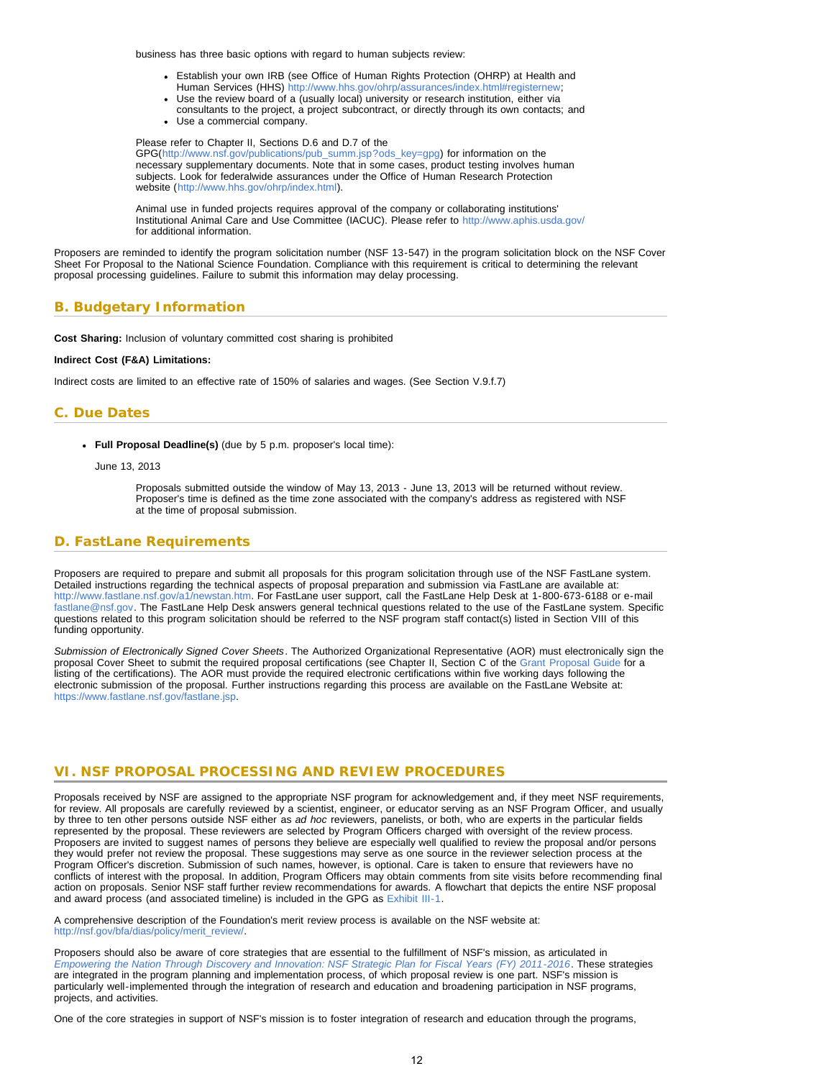business has three basic options with regard to human subjects review:

- Establish your own IRB (see Office of Human Rights Protection (OHRP) at Health and Human Services (HHS) [http://www.hhs.gov/ohrp/assurances/index.html#registernew;](http://www.hhs.gov/ohrp/assurances/index.html#registernew)
- . Use the review board of a (usually local) university or research institution, either via consultants to the project, a project subcontract, or directly through its own contacts; and
- Use a commercial company.

Please refer to Chapter II, Sections D.6 and D.7 of the GPG([http://www.nsf.gov/publications/pub\\_summ.jsp?ods\\_key=gpg](http://www.nsf.gov/publications/pub_summ.jsp?ods_key=gpg)) for information on the necessary supplementary documents. Note that in some cases, product testing involves human subjects. Look for federalwide assurances under the Office of Human Research Protection website ([http://www.hhs.gov/ohrp/index.html\)](http://www.hhs.gov/ohrp/index.html).

Animal use in funded projects requires approval of the company or collaborating institutions' Institutional Animal Care and Use Committee (IACUC). Please refer to <http://www.aphis.usda.gov/> for additional information.

Proposers are reminded to identify the program solicitation number (NSF 13-547) in the program solicitation block on the NSF Cover Sheet For Proposal to the National Science Foundation. Compliance with this requirement is critical to determining the relevant proposal processing guidelines. Failure to submit this information may delay processing.

# <span id="page-11-0"></span>**B. Budgetary Information**

**Cost Sharing:** Inclusion of voluntary committed cost sharing is prohibited

### **Indirect Cost (F&A) Limitations:**

Indirect costs are limited to an effective rate of 150% of salaries and wages. (See Section V.9.f.7)

### <span id="page-11-1"></span>**C. Due Dates**

**Full Proposal Deadline(s)** (due by 5 p.m. proposer's local time):

#### June 13, 2013

Proposals submitted outside the window of May 13, 2013 - June 13, 2013 will be returned without review. Proposer's time is defined as the time zone associated with the company's address as registered with NSF at the time of proposal submission.

# <span id="page-11-2"></span>**D. FastLane Requirements**

Proposers are required to prepare and submit all proposals for this program solicitation through use of the NSF FastLane system. Detailed instructions regarding the technical aspects of proposal preparation and submission via FastLane are available at: [http://www.fastlane.nsf.gov/a1/newstan.htm.](http://www.fastlane.nsf.gov/a1/newstan.htm) For FastLane user support, call the FastLane Help Desk at 1-800-673-6188 or e-mail [fastlane@nsf.gov.](mailto:fastlane@nsf.gov) The FastLane Help Desk answers general technical questions related to the use of the FastLane system. Specific questions related to this program solicitation should be referred to the NSF program staff contact(s) listed in Section VIII of this funding opportunity.

*Submission of Electronically Signed Cover Sheets*. The Authorized Organizational Representative (AOR) must electronically sign the proposal Cover Sheet to submit the required proposal certifications (see Chapter II, Section C of the [Grant Proposal Guide](http://www.nsf.gov/publications/pub_summ.jsp?ods_key=gpg) for a listing of the certifications). The AOR must provide the required electronic certifications within five working days following the electronic submission of the proposal. Further instructions regarding this process are available on the FastLane Website at: [https://www.fastlane.nsf.gov/fastlane.jsp.](https://www.fastlane.nsf.gov/fastlane.jsp)

# <span id="page-11-3"></span>**VI. NSF PROPOSAL PROCESSING AND REVIEW PROCEDURES**

Proposals received by NSF are assigned to the appropriate NSF program for acknowledgement and, if they meet NSF requirements, for review. All proposals are carefully reviewed by a scientist, engineer, or educator serving as an NSF Program Officer, and usually by three to ten other persons outside NSF either as *ad hoc* reviewers, panelists, or both, who are experts in the particular fields represented by the proposal. These reviewers are selected by Program Officers charged with oversight of the review process. Proposers are invited to suggest names of persons they believe are especially well qualified to review the proposal and/or persons they would prefer not review the proposal. These suggestions may serve as one source in the reviewer selection process at the Program Officer's discretion. Submission of such names, however, is optional. Care is taken to ensure that reviewers have no conflicts of interest with the proposal. In addition, Program Officers may obtain comments from site visits before recommending final action on proposals. Senior NSF staff further review recommendations for awards. A flowchart that depicts the entire NSF proposal and award process (and associated timeline) is included in the GPG as [Exhibit III-1](http://www.nsf.gov/pubs/policydocs/pappguide/nsf13001/gpg_3ex1.pdf).

A comprehensive description of the Foundation's merit review process is available on the NSF website at: [http://nsf.gov/bfa/dias/policy/merit\\_review/.](http://nsf.gov/bfa/dias/policy/merit_review/)

Proposers should also be aware of core strategies that are essential to the fulfillment of NSF's mission, as articulated in *[Empowering the Nation Through Discovery and Innovation: NSF Strategic Plan for Fiscal Years \(FY\) 2011-2016](http://www.nsf.gov/news/strategicplan/nsfstrategicplan_2011_2016.pdf)*. These strategies are integrated in the program planning and implementation process, of which proposal review is one part. NSF's mission is particularly well-implemented through the integration of research and education and broadening participation in NSF programs, projects, and activities.

One of the core strategies in support of NSF's mission is to foster integration of research and education through the programs,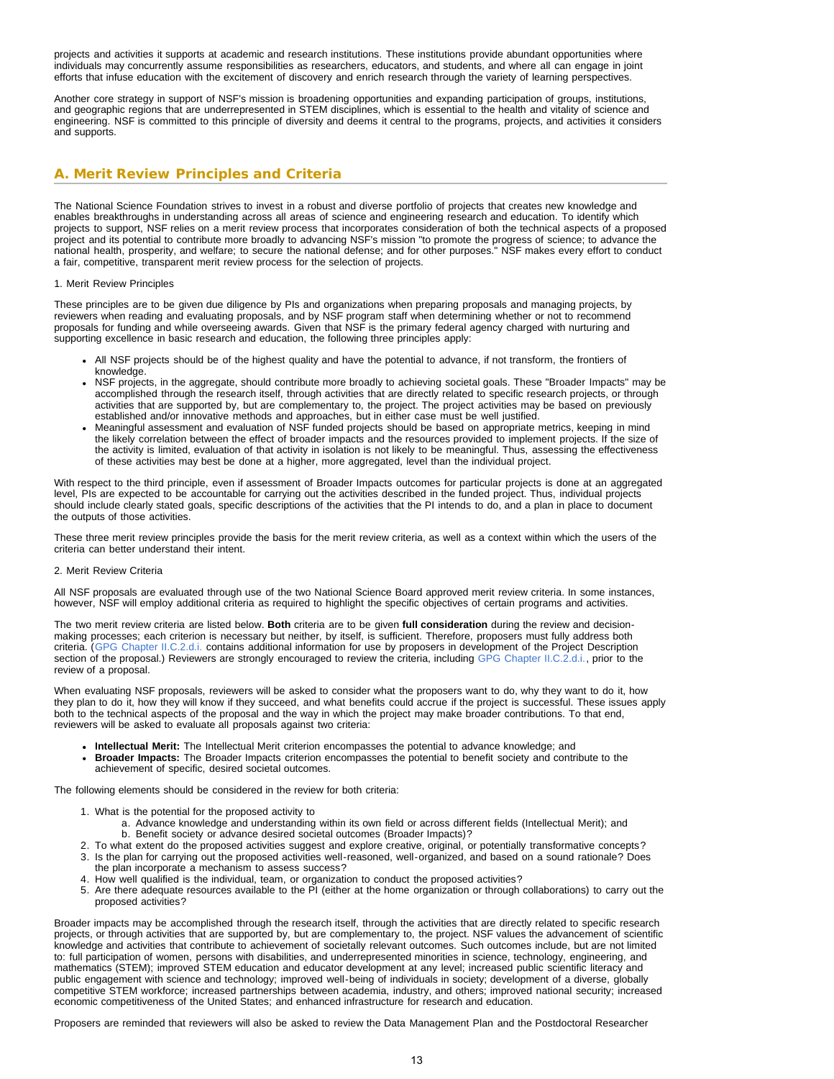projects and activities it supports at academic and research institutions. These institutions provide abundant opportunities where individuals may concurrently assume responsibilities as researchers, educators, and students, and where all can engage in joint efforts that infuse education with the excitement of discovery and enrich research through the variety of learning perspectives.

Another core strategy in support of NSF's mission is broadening opportunities and expanding participation of groups, institutions, and geographic regions that are underrepresented in STEM disciplines, which is essential to the health and vitality of science and engineering. NSF is committed to this principle of diversity and deems it central to the programs, projects, and activities it considers and supports.

# <span id="page-12-0"></span>**A. Merit Review Principles and Criteria**

The National Science Foundation strives to invest in a robust and diverse portfolio of projects that creates new knowledge and enables breakthroughs in understanding across all areas of science and engineering research and education. To identify which projects to support, NSF relies on a merit review process that incorporates consideration of both the technical aspects of a proposed project and its potential to contribute more broadly to advancing NSF's mission "to promote the progress of science; to advance the national health, prosperity, and welfare; to secure the national defense; and for other purposes." NSF makes every effort to conduct a fair, competitive, transparent merit review process for the selection of projects.

#### 1. Merit Review Principles

These principles are to be given due diligence by PIs and organizations when preparing proposals and managing projects, by reviewers when reading and evaluating proposals, and by NSF program staff when determining whether or not to recommend proposals for funding and while overseeing awards. Given that NSF is the primary federal agency charged with nurturing and supporting excellence in basic research and education, the following three principles apply:

- All NSF projects should be of the highest quality and have the potential to advance, if not transform, the frontiers of knowledge.
- NSF projects, in the aggregate, should contribute more broadly to achieving societal goals. These "Broader Impacts" may be accomplished through the research itself, through activities that are directly related to specific research projects, or through activities that are supported by, but are complementary to, the project. The project activities may be based on previously established and/or innovative methods and approaches, but in either case must be well justified.
- Meaningful assessment and evaluation of NSF funded projects should be based on appropriate metrics, keeping in mind the likely correlation between the effect of broader impacts and the resources provided to implement projects. If the size of the activity is limited, evaluation of that activity in isolation is not likely to be meaningful. Thus, assessing the effectiveness of these activities may best be done at a higher, more aggregated, level than the individual project.

With respect to the third principle, even if assessment of Broader Impacts outcomes for particular projects is done at an aggregated level, PIs are expected to be accountable for carrying out the activities described in the funded project. Thus, individual projects should include clearly stated goals, specific descriptions of the activities that the PI intends to do, and a plan in place to document the outputs of those activities.

These three merit review principles provide the basis for the merit review criteria, as well as a context within which the users of the criteria can better understand their intent.

#### 2. Merit Review Criteria

All NSF proposals are evaluated through use of the two National Science Board approved merit review criteria. In some instances, however, NSF will employ additional criteria as required to highlight the specific objectives of certain programs and activities.

The two merit review criteria are listed below. **Both** criteria are to be given **full consideration** during the review and decisionmaking processes; each criterion is necessary but neither, by itself, is sufficient. Therefore, proposers must fully address both criteria. ([GPG Chapter II.C.2.d.i.](http://www.nsf.gov/pubs/policydocs/pappguide/nsf13001/gpg_2.jsp#IIC2di) contains additional information for use by proposers in development of the Project Description section of the proposal.) Reviewers are strongly encouraged to review the criteria, including [GPG Chapter II.C.2.d.i.,](http://www.nsf.gov/pubs/policydocs/pappguide/nsf13001/gpg_2.jsp#IIC2di) prior to the review of a proposal.

When evaluating NSF proposals, reviewers will be asked to consider what the proposers want to do, why they want to do it, how they plan to do it, how they will know if they succeed, and what benefits could accrue if the project is successful. These issues apply both to the technical aspects of the proposal and the way in which the project may make broader contributions. To that end, reviewers will be asked to evaluate all proposals against two criteria:

- **Intellectual Merit:** The Intellectual Merit criterion encompasses the potential to advance knowledge; and
- **Broader Impacts:** The Broader Impacts criterion encompasses the potential to benefit society and contribute to the achievement of specific, desired societal outcomes.

The following elements should be considered in the review for both criteria:

- 1. What is the potential for the proposed activity to
	- a. Advance knowledge and understanding within its own field or across different fields (Intellectual Merit); and b. Benefit society or advance desired societal outcomes (Broader Impacts)?
- 2. To what extent do the proposed activities suggest and explore creative, original, or potentially transformative concepts?
- 3. Is the plan for carrying out the proposed activities well-reasoned, well-organized, and based on a sound rationale? Does the plan incorporate a mechanism to assess success?
- 4. How well qualified is the individual, team, or organization to conduct the proposed activities?
- 5. Are there adequate resources available to the PI (either at the home organization or through collaborations) to carry out the proposed activities?

Broader impacts may be accomplished through the research itself, through the activities that are directly related to specific research projects, or through activities that are supported by, but are complementary to, the project. NSF values the advancement of scientific knowledge and activities that contribute to achievement of societally relevant outcomes. Such outcomes include, but are not limited to: full participation of women, persons with disabilities, and underrepresented minorities in science, technology, engineering, and mathematics (STEM); improved STEM education and educator development at any level; increased public scientific literacy and public engagement with science and technology; improved well-being of individuals in society; development of a diverse, globally competitive STEM workforce; increased partnerships between academia, industry, and others; improved national security; increased economic competitiveness of the United States; and enhanced infrastructure for research and education.

Proposers are reminded that reviewers will also be asked to review the Data Management Plan and the Postdoctoral Researcher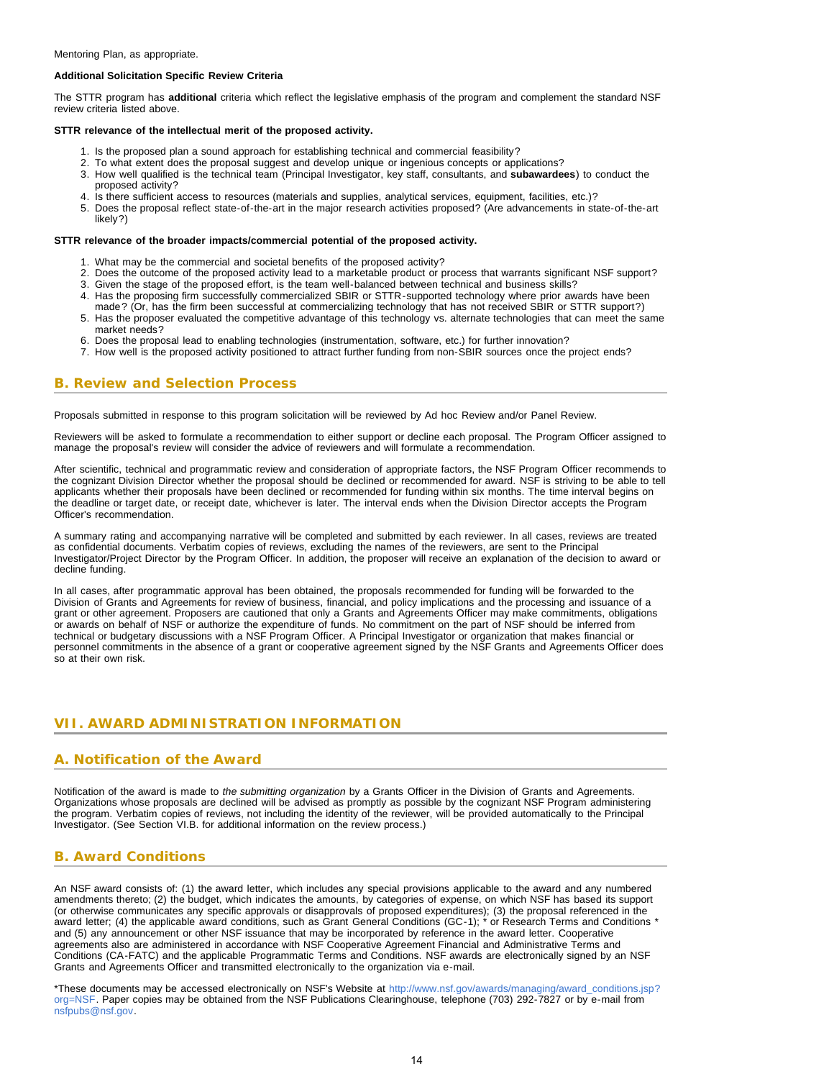Mentoring Plan, as appropriate.

#### **Additional Solicitation Specific Review Criteria**

The STTR program has **additional** criteria which reflect the legislative emphasis of the program and complement the standard NSF review criteria listed above.

#### **STTR relevance of the intellectual merit of the proposed activity.**

- 1. Is the proposed plan a sound approach for establishing technical and commercial feasibility?
- 2. To what extent does the proposal suggest and develop unique or ingenious concepts or applications?
- 3. How well qualified is the technical team (Principal Investigator, key staff, consultants, and **subawardees**) to conduct the proposed activity?
- 4. Is there sufficient access to resources (materials and supplies, analytical services, equipment, facilities, etc.)?
- 5. Does the proposal reflect state-of-the-art in the major research activities proposed? (Are advancements in state-of-the-art likely?)

#### **STTR relevance of the broader impacts/commercial potential of the proposed activity.**

- 1. What may be the commercial and societal benefits of the proposed activity?
- 2. Does the outcome of the proposed activity lead to a marketable product or process that warrants significant NSF support? 3. Given the stage of the proposed effort, is the team well-balanced between technical and business skills?
- 4. Has the proposing firm successfully commercialized SBIR or STTR-supported technology where prior awards have been made? (Or, has the firm been successful at commercializing technology that has not received SBIR or STTR support?)
- 5. Has the proposer evaluated the competitive advantage of this technology vs. alternate technologies that can meet the same market needs?
- 6. Does the proposal lead to enabling technologies (instrumentation, software, etc.) for further innovation?
- 7. How well is the proposed activity positioned to attract further funding from non-SBIR sources once the project ends?

### <span id="page-13-0"></span>**B. Review and Selection Process**

Proposals submitted in response to this program solicitation will be reviewed by Ad hoc Review and/or Panel Review.

Reviewers will be asked to formulate a recommendation to either support or decline each proposal. The Program Officer assigned to manage the proposal's review will consider the advice of reviewers and will formulate a recommendation.

After scientific, technical and programmatic review and consideration of appropriate factors, the NSF Program Officer recommends to the cognizant Division Director whether the proposal should be declined or recommended for award. NSF is striving to be able to tell applicants whether their proposals have been declined or recommended for funding within six months. The time interval begins on the deadline or target date, or receipt date, whichever is later. The interval ends when the Division Director accepts the Program Officer's recommendation.

A summary rating and accompanying narrative will be completed and submitted by each reviewer. In all cases, reviews are treated as confidential documents. Verbatim copies of reviews, excluding the names of the reviewers, are sent to the Principal Investigator/Project Director by the Program Officer. In addition, the proposer will receive an explanation of the decision to award or decline funding.

In all cases, after programmatic approval has been obtained, the proposals recommended for funding will be forwarded to the Division of Grants and Agreements for review of business, financial, and policy implications and the processing and issuance of a grant or other agreement. Proposers are cautioned that only a Grants and Agreements Officer may make commitments, obligations or awards on behalf of NSF or authorize the expenditure of funds. No commitment on the part of NSF should be inferred from technical or budgetary discussions with a NSF Program Officer. A Principal Investigator or organization that makes financial or personnel commitments in the absence of a grant or cooperative agreement signed by the NSF Grants and Agreements Officer does so at their own risk.

# <span id="page-13-1"></span>**VII. AWARD ADMINISTRATION INFORMATION**

# <span id="page-13-2"></span>**A. Notification of the Award**

Notification of the award is made to *the submitting organization* by a Grants Officer in the Division of Grants and Agreements. Organizations whose proposals are declined will be advised as promptly as possible by the cognizant NSF Program administering the program. Verbatim copies of reviews, not including the identity of the reviewer, will be provided automatically to the Principal Investigator. (See Section VI.B. for additional information on the review process.)

# <span id="page-13-3"></span>**B. Award Conditions**

An NSF award consists of: (1) the award letter, which includes any special provisions applicable to the award and any numbered amendments thereto; (2) the budget, which indicates the amounts, by categories of expense, on which NSF has based its support (or otherwise communicates any specific approvals or disapprovals of proposed expenditures); (3) the proposal referenced in the award letter; (4) the applicable award conditions, such as Grant General Conditions (GC-1); \* or Research Terms and Conditions \* and (5) any announcement or other NSF issuance that may be incorporated by reference in the award letter. Cooperative agreements also are administered in accordance with NSF Cooperative Agreement Financial and Administrative Terms and Conditions (CA-FATC) and the applicable Programmatic Terms and Conditions. NSF awards are electronically signed by an NSF Grants and Agreements Officer and transmitted electronically to the organization via e-mail.

\*These documents may be accessed electronically on NSF's Website at [http://www.nsf.gov/awards/managing/award\\_conditions.jsp?](http://www.nsf.gov/awards/managing/award_conditions.jsp?org=NSF) [org=NSF.](http://www.nsf.gov/awards/managing/award_conditions.jsp?org=NSF) Paper copies may be obtained from the NSF Publications Clearinghouse, telephone (703) 292-7827 or by e-mail from [nsfpubs@nsf.gov.](mailto:nsfpubs@nsf.gov)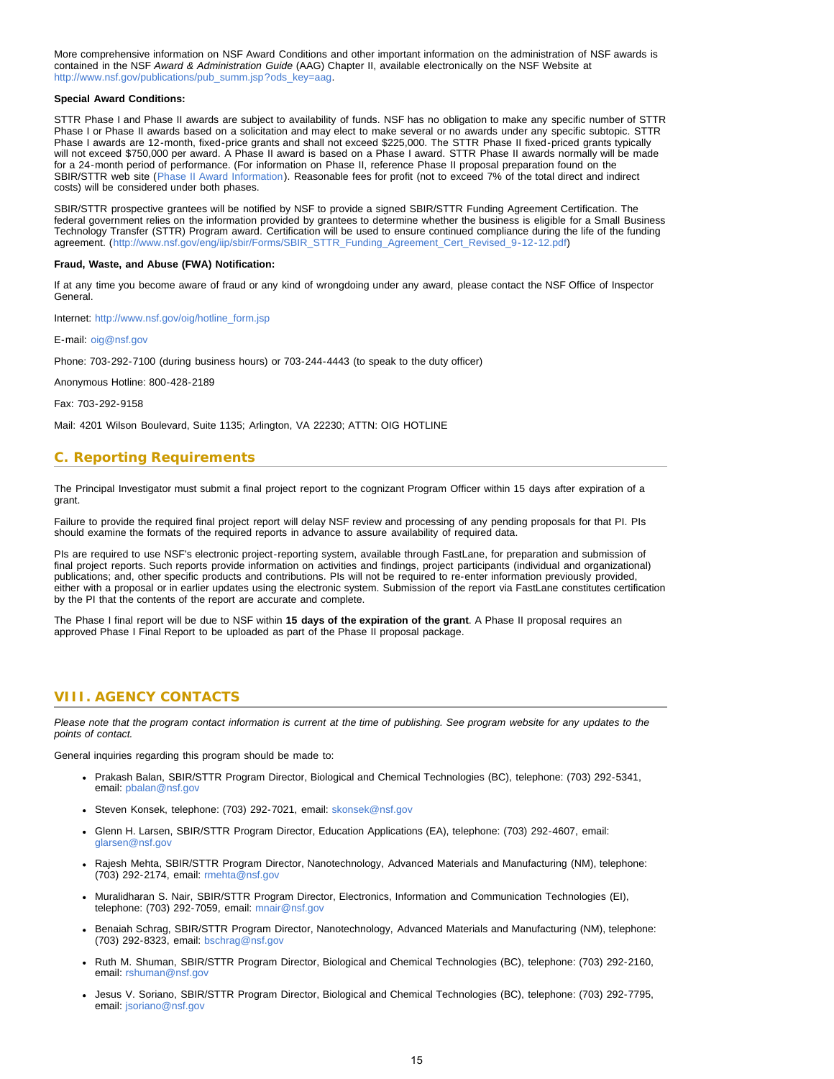More comprehensive information on NSF Award Conditions and other important information on the administration of NSF awards is contained in the NSF *Award & Administration Guide* (AAG) Chapter II, available electronically on the NSF Website at [http://www.nsf.gov/publications/pub\\_summ.jsp?ods\\_key=aag.](http://www.nsf.gov/publications/pub_summ.jsp?ods_key=aag)

#### **Special Award Conditions:**

STTR Phase I and Phase II awards are subject to availability of funds. NSF has no obligation to make any specific number of STTR Phase I or Phase II awards based on a solicitation and may elect to make several or no awards under any specific subtopic. STTR Phase I awards are 12-month, fixed-price grants and shall not exceed \$225,000. The STTR Phase II fixed-priced grants typically will not exceed \$750,000 per award. A Phase II award is based on a Phase I award. STTR Phase II awards normally will be made for a 24-month period of performance. (For information on Phase II, reference Phase II proposal preparation found on the SBIR/STTR web site ([Phase II Award Information\)](http://www.nsf.gov/eng/iip/sbir/phase_IIa.jsp?SBTR=solicTIIT). Reasonable fees for profit (not to exceed 7% of the total direct and indirect costs) will be considered under both phases.

SBIR/STTR prospective grantees will be notified by NSF to provide a signed SBIR/STTR Funding Agreement Certification. The federal government relies on the information provided by grantees to determine whether the business is eligible for a Small Business Technology Transfer (STTR) Program award. Certification will be used to ensure continued compliance during the life of the funding agreement. ([http://www.nsf.gov/eng/iip/sbir/Forms/SBIR\\_STTR\\_Funding\\_Agreement\\_Cert\\_Revised\\_9-12-12.pdf](http://www.nsf.gov/eng/iip/sbir/Forms/SBIR_STTR_Funding_Agreement_Cert_Revised_9-12-12.pdf))

#### **Fraud, Waste, and Abuse (FWA) Notification:**

If at any time you become aware of fraud or any kind of wrongdoing under any award, please contact the NSF Office of Inspector General.

Internet: [http://www.nsf.gov/oig/hotline\\_form.jsp](http://www.nsf.gov/oig/hotline_form.jsp)

E-mail: [oig@nsf.gov](mailto:oig@nsf.gov)

Phone: 703-292-7100 (during business hours) or 703-244-4443 (to speak to the duty officer)

Anonymous Hotline: 800-428-2189

Fax: 703-292-9158

Mail: 4201 Wilson Boulevard, Suite 1135; Arlington, VA 22230; ATTN: OIG HOTLINE

# <span id="page-14-0"></span>**C. Reporting Requirements**

The Principal Investigator must submit a final project report to the cognizant Program Officer within 15 days after expiration of a grant.

Failure to provide the required final project report will delay NSF review and processing of any pending proposals for that PI. PIs should examine the formats of the required reports in advance to assure availability of required data.

PIs are required to use NSF's electronic project-reporting system, available through FastLane, for preparation and submission of final project reports. Such reports provide information on activities and findings, project participants (individual and organizational) publications; and, other specific products and contributions. PIs will not be required to re-enter information previously provided, either with a proposal or in earlier updates using the electronic system. Submission of the report via FastLane constitutes certification by the PI that the contents of the report are accurate and complete.

The Phase I final report will be due to NSF within **15 days of the expiration of the grant**. A Phase II proposal requires an approved Phase I Final Report to be uploaded as part of the Phase II proposal package.

### <span id="page-14-1"></span>**VIII. AGENCY CONTACTS**

*Please note that the program contact information is current at the time of publishing. See program website for any updates to the points of contact.*

General inquiries regarding this program should be made to:

- Prakash Balan, SBIR/STTR Program Director, Biological and Chemical Technologies (BC), telephone: (703) 292-5341, email: [pbalan@nsf.gov](mailto:pbalan@nsf.gov)
- Steven Konsek, telephone: (703) 292-7021, email: [skonsek@nsf.gov](mailto:skonsek@nsf.gov)
- Glenn H. Larsen, SBIR/STTR Program Director, Education Applications (EA), telephone: (703) 292-4607, email: [glarsen@nsf.gov](mailto:glarsen@nsf.gov)
- Rajesh Mehta, SBIR/STTR Program Director, Nanotechnology, Advanced Materials and Manufacturing (NM), telephone: (703) 292-2174, email: [rmehta@nsf.gov](mailto:rmehta@nsf.gov)
- Muralidharan S. Nair, SBIR/STTR Program Director, Electronics, Information and Communication Technologies (EI), telephone: (703) 292-7059, email: [mnair@nsf.gov](mailto:mnair@nsf.gov)
- Benaiah Schrag, SBIR/STTR Program Director, Nanotechnology, Advanced Materials and Manufacturing (NM), telephone: (703) 292-8323, email: [bschrag@nsf.gov](mailto:bschrag@nsf.gov)
- Ruth M. Shuman, SBIR/STTR Program Director, Biological and Chemical Technologies (BC), telephone: (703) 292-2160, email: [rshuman@nsf.gov](mailto:rshuman@nsf.gov)
- Jesus V. Soriano, SBIR/STTR Program Director, Biological and Chemical Technologies (BC), telephone: (703) 292-7795, email: [jsoriano@nsf.gov](mailto:jsoriano@nsf.gov)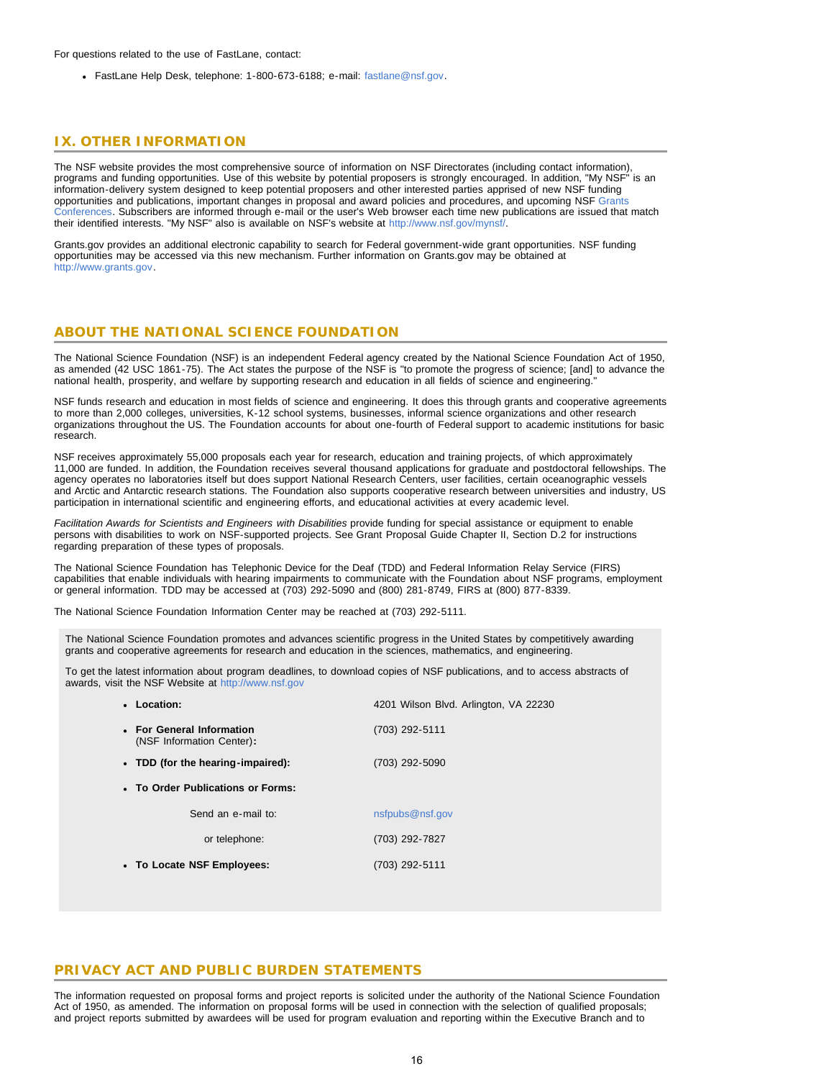For questions related to the use of FastLane, contact:

FastLane Help Desk, telephone: 1-800-673-6188; e-mail: [fastlane@nsf.gov.](mailto:fastlane@nsf.gov)

### <span id="page-15-0"></span>**IX. OTHER INFORMATION**

The NSF website provides the most comprehensive source of information on NSF Directorates (including contact information), programs and funding opportunities. Use of this website by potential proposers is strongly encouraged. In addition, "My NSF" is an information-delivery system designed to keep potential proposers and other interested parties apprised of new NSF funding opportunities and publications, important changes in proposal and award policies and procedures, and upcoming NSF [Grants](http://www.nsf.gov/bfa/dias/policy/outreach.jsp) [Conferences.](http://www.nsf.gov/bfa/dias/policy/outreach.jsp) Subscribers are informed through e-mail or the user's Web browser each time new publications are issued that match their identified interests. "My NSF" also is available on NSF's website at [http://www.nsf.gov/mynsf/.](http://www.nsf.gov/mynsf/)

Grants.gov provides an additional electronic capability to search for Federal government-wide grant opportunities. NSF funding opportunities may be accessed via this new mechanism. Further information on Grants.gov may be obtained at [http://www.grants.gov.](http://www.grants.gov/)

### **ABOUT THE NATIONAL SCIENCE FOUNDATION**

The National Science Foundation (NSF) is an independent Federal agency created by the National Science Foundation Act of 1950, as amended (42 USC 1861-75). The Act states the purpose of the NSF is "to promote the progress of science; [and] to advance the national health, prosperity, and welfare by supporting research and education in all fields of science and engineering."

NSF funds research and education in most fields of science and engineering. It does this through grants and cooperative agreements to more than 2,000 colleges, universities, K-12 school systems, businesses, informal science organizations and other research organizations throughout the US. The Foundation accounts for about one-fourth of Federal support to academic institutions for basic research.

NSF receives approximately 55,000 proposals each year for research, education and training projects, of which approximately 11,000 are funded. In addition, the Foundation receives several thousand applications for graduate and postdoctoral fellowships. The agency operates no laboratories itself but does support National Research Centers, user facilities, certain oceanographic vessels and Arctic and Antarctic research stations. The Foundation also supports cooperative research between universities and industry, US participation in international scientific and engineering efforts, and educational activities at every academic level.

*Facilitation Awards for Scientists and Engineers with Disabilities* provide funding for special assistance or equipment to enable persons with disabilities to work on NSF-supported projects. See Grant Proposal Guide Chapter II, Section D.2 for instructions regarding preparation of these types of proposals.

The National Science Foundation has Telephonic Device for the Deaf (TDD) and Federal Information Relay Service (FIRS) capabilities that enable individuals with hearing impairments to communicate with the Foundation about NSF programs, employment or general information. TDD may be accessed at (703) 292-5090 and (800) 281-8749, FIRS at (800) 877-8339.

The National Science Foundation Information Center may be reached at (703) 292-5111.

The National Science Foundation promotes and advances scientific progress in the United States by competitively awarding grants and cooperative agreements for research and education in the sciences, mathematics, and engineering.

To get the latest information about program deadlines, to download copies of NSF publications, and to access abstracts of awards, visit the NSF Website at [http://www.nsf.gov](http://www.nsf.gov/)

| Location:                                              | 4201 Wilson Blvd. Arlington, VA 22230 |  |  |  |  |  |
|--------------------------------------------------------|---------------------------------------|--|--|--|--|--|
| • For General Information<br>(NSF Information Center): | $(703)$ 292-5111                      |  |  |  |  |  |
| • TDD (for the hearing-impaired):                      | $(703)$ 292-5090                      |  |  |  |  |  |
| • To Order Publications or Forms:                      |                                       |  |  |  |  |  |
| Send an e-mail to:                                     | nsfpubs@nsf.gov                       |  |  |  |  |  |
| or telephone:                                          | (703) 292-7827                        |  |  |  |  |  |
| • To Locate NSF Employees:                             | (703) 292-5111                        |  |  |  |  |  |
|                                                        |                                       |  |  |  |  |  |

# **PRIVACY ACT AND PUBLIC BURDEN STATEMENTS**

The information requested on proposal forms and project reports is solicited under the authority of the National Science Foundation Act of 1950, as amended. The information on proposal forms will be used in connection with the selection of qualified proposals; and project reports submitted by awardees will be used for program evaluation and reporting within the Executive Branch and to